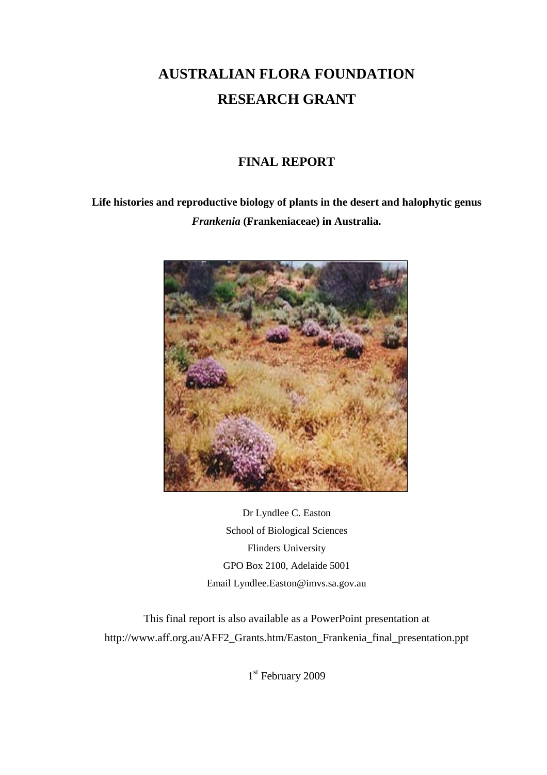# **AUSTRALIAN FLORA FOUNDATION RESEARCH GRANT**

# **FINAL REPORT**

**Life histories and reproductive biology of plants in the desert and halophytic genus** *Frankenia* **(Frankeniaceae) in Australia.**



Dr Lyndlee C. Easton School of Biological Sciences Flinders University GPO Box 2100, Adelaide 5001 Email Lyndlee.Easton@imvs.sa.gov.au

This final report is also available as a PowerPoint presentation at http://www.aff.org.au/AFF2\_Grants.htm/Easton\_Frankenia\_final\_presentation.ppt

1<sup>st</sup> February 2009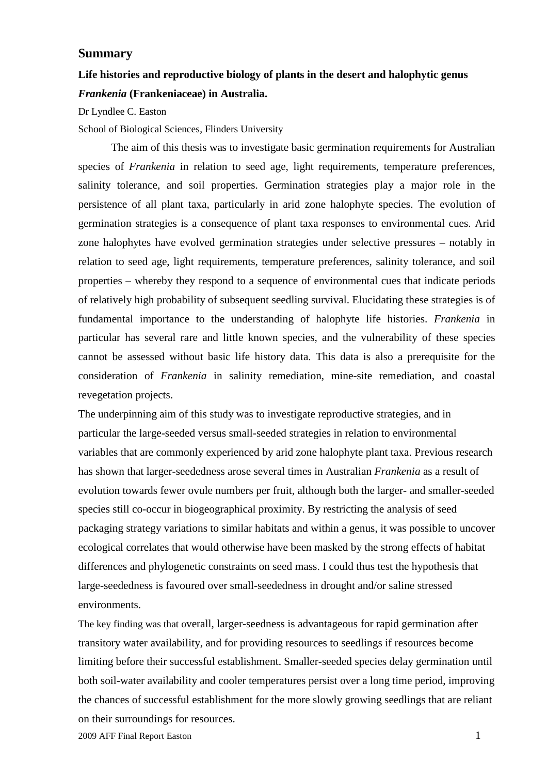#### **Summary**

# **Life histories and reproductive biology of plants in the desert and halophytic genus** *Frankenia* **(Frankeniaceae) in Australia.**

Dr Lyndlee C. Easton

School of Biological Sciences, Flinders University

The aim of this thesis was to investigate basic germination requirements for Australian species of *Frankenia* in relation to seed age, light requirements, temperature preferences, salinity tolerance, and soil properties. Germination strategies play a major role in the persistence of all plant taxa, particularly in arid zone halophyte species. The evolution of germination strategies is a consequence of plant taxa responses to environmental cues. Arid zone halophytes have evolved germination strategies under selective pressures – notably in relation to seed age, light requirements, temperature preferences, salinity tolerance, and soil properties – whereby they respond to a sequence of environmental cues that indicate periods of relatively high probability of subsequent seedling survival. Elucidating these strategies is of fundamental importance to the understanding of halophyte life histories. *Frankenia* in particular has several rare and little known species, and the vulnerability of these species cannot be assessed without basic life history data. This data is also a prerequisite for the consideration of *Frankenia* in salinity remediation, mine-site remediation, and coastal revegetation projects.

The underpinning aim of this study was to investigate reproductive strategies, and in particular the large-seeded versus small-seeded strategies in relation to environmental variables that are commonly experienced by arid zone halophyte plant taxa. Previous research has shown that larger-seededness arose several times in Australian *Frankenia* as a result of evolution towards fewer ovule numbers per fruit, although both the larger- and smaller-seeded species still co-occur in biogeographical proximity. By restricting the analysis of seed packaging strategy variations to similar habitats and within a genus, it was possible to uncover ecological correlates that would otherwise have been masked by the strong effects of habitat differences and phylogenetic constraints on seed mass. I could thus test the hypothesis that large-seededness is favoured over small-seededness in drought and/or saline stressed environments.

The key finding was that overall, larger-seedness is advantageous for rapid germination after transitory water availability, and for providing resources to seedlings if resources become limiting before their successful establishment. Smaller-seeded species delay germination until both soil-water availability and cooler temperatures persist over a long time period, improving the chances of successful establishment for the more slowly growing seedlings that are reliant on their surroundings for resources.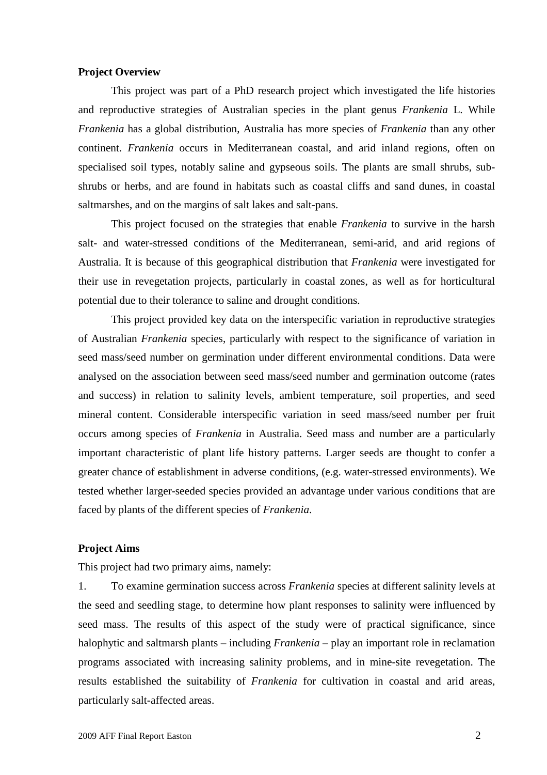#### **Project Overview**

This project was part of a PhD research project which investigated the life histories and reproductive strategies of Australian species in the plant genus *Frankenia* L. While *Frankenia* has a global distribution, Australia has more species of *Frankenia* than any other continent. *Frankenia* occurs in Mediterranean coastal, and arid inland regions, often on specialised soil types, notably saline and gypseous soils. The plants are small shrubs, subshrubs or herbs, and are found in habitats such as coastal cliffs and sand dunes, in coastal saltmarshes, and on the margins of salt lakes and salt-pans.

This project focused on the strategies that enable *Frankenia* to survive in the harsh salt- and water-stressed conditions of the Mediterranean, semi-arid, and arid regions of Australia. It is because of this geographical distribution that *Frankenia* were investigated for their use in revegetation projects, particularly in coastal zones, as well as for horticultural potential due to their tolerance to saline and drought conditions.

This project provided key data on the interspecific variation in reproductive strategies of Australian *Frankenia* species, particularly with respect to the significance of variation in seed mass/seed number on germination under different environmental conditions. Data were analysed on the association between seed mass/seed number and germination outcome (rates and success) in relation to salinity levels, ambient temperature, soil properties, and seed mineral content. Considerable interspecific variation in seed mass/seed number per fruit occurs among species of *Frankenia* in Australia. Seed mass and number are a particularly important characteristic of plant life history patterns. Larger seeds are thought to confer a greater chance of establishment in adverse conditions, (e.g. water-stressed environments). We tested whether larger-seeded species provided an advantage under various conditions that are faced by plants of the different species of *Frankenia*.

#### **Project Aims**

This project had two primary aims, namely:

1. To examine germination success across *Frankenia* species at different salinity levels at the seed and seedling stage, to determine how plant responses to salinity were influenced by seed mass. The results of this aspect of the study were of practical significance, since halophytic and saltmarsh plants – including *Frankenia* – play an important role in reclamation programs associated with increasing salinity problems, and in mine-site revegetation. The results established the suitability of *Frankenia* for cultivation in coastal and arid areas, particularly salt-affected areas.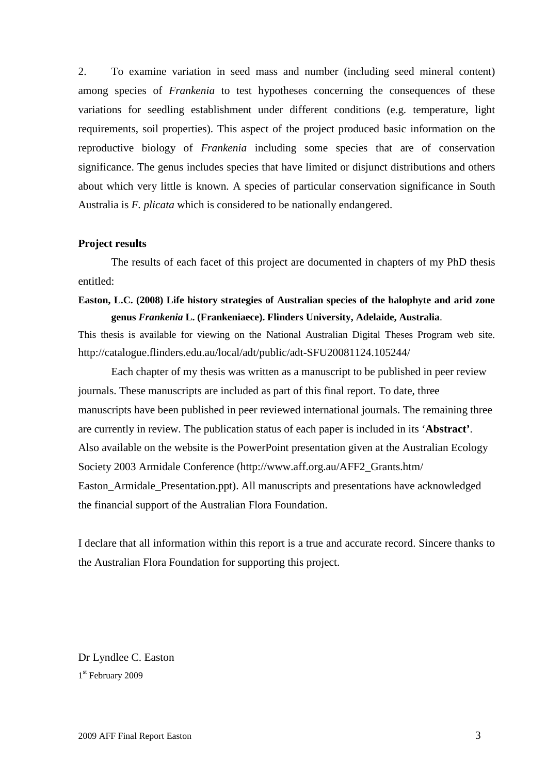2. To examine variation in seed mass and number (including seed mineral content) among species of *Frankenia* to test hypotheses concerning the consequences of these variations for seedling establishment under different conditions (e.g. temperature, light requirements, soil properties). This aspect of the project produced basic information on the reproductive biology of *Frankenia* including some species that are of conservation significance. The genus includes species that have limited or disjunct distributions and others about which very little is known. A species of particular conservation significance in South Australia is *F. plicata* which is considered to be nationally endangered.

#### **Project results**

The results of each facet of this project are documented in chapters of my PhD thesis entitled:

### **Easton, L.C. (2008) Life history strategies of Australian species of the halophyte and arid zone genus** *Frankenia* **L. (Frankeniaece). Flinders University, Adelaide, Australia**.

This thesis is available for viewing on the National Australian Digital Theses Program web site. http://catalogue.flinders.edu.au/local/adt/public/adt-SFU20081124.105244/

Each chapter of my thesis was written as a manuscript to be published in peer review journals. These manuscripts are included as part of this final report. To date, three manuscripts have been published in peer reviewed international journals. The remaining three are currently in review. The publication status of each paper is included in its '**Abstract'**. Also available on the website is the PowerPoint presentation given at the Australian Ecology Society 2003 Armidale Conference (http://www.aff.org.au/AFF2\_Grants.htm/ Easton\_Armidale\_Presentation.ppt). All manuscripts and presentations have acknowledged the financial support of the Australian Flora Foundation.

I declare that all information within this report is a true and accurate record. Sincere thanks to the Australian Flora Foundation for supporting this project.

Dr Lyndlee C. Easton 1 st February 2009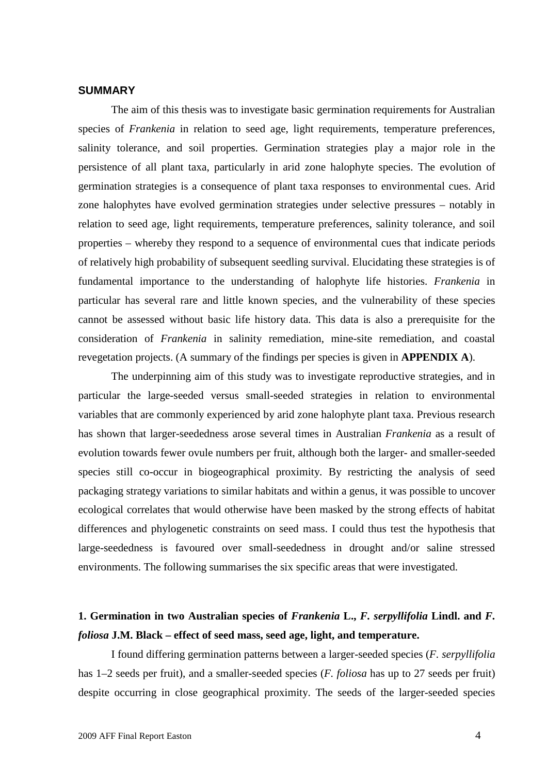#### **SUMMARY**

The aim of this thesis was to investigate basic germination requirements for Australian species of *Frankenia* in relation to seed age, light requirements, temperature preferences, salinity tolerance, and soil properties. Germination strategies play a major role in the persistence of all plant taxa, particularly in arid zone halophyte species. The evolution of germination strategies is a consequence of plant taxa responses to environmental cues. Arid zone halophytes have evolved germination strategies under selective pressures – notably in relation to seed age, light requirements, temperature preferences, salinity tolerance, and soil properties – whereby they respond to a sequence of environmental cues that indicate periods of relatively high probability of subsequent seedling survival. Elucidating these strategies is of fundamental importance to the understanding of halophyte life histories. *Frankenia* in particular has several rare and little known species, and the vulnerability of these species cannot be assessed without basic life history data. This data is also a prerequisite for the consideration of *Frankenia* in salinity remediation, mine-site remediation, and coastal revegetation projects. (A summary of the findings per species is given in **APPENDIX A**).

The underpinning aim of this study was to investigate reproductive strategies, and in particular the large-seeded versus small-seeded strategies in relation to environmental variables that are commonly experienced by arid zone halophyte plant taxa. Previous research has shown that larger-seededness arose several times in Australian *Frankenia* as a result of evolution towards fewer ovule numbers per fruit, although both the larger- and smaller-seeded species still co-occur in biogeographical proximity. By restricting the analysis of seed packaging strategy variations to similar habitats and within a genus, it was possible to uncover ecological correlates that would otherwise have been masked by the strong effects of habitat differences and phylogenetic constraints on seed mass. I could thus test the hypothesis that large-seededness is favoured over small-seededness in drought and/or saline stressed environments. The following summarises the six specific areas that were investigated.

## **1. Germination in two Australian species of** *Frankenia* **L.,** *F. serpyllifolia* **Lindl. and** *F. foliosa* **J.M. Black – effect of seed mass, seed age, light, and temperature.**

I found differing germination patterns between a larger-seeded species (*F. serpyllifolia* has 1–2 seeds per fruit), and a smaller-seeded species (*F. foliosa* has up to 27 seeds per fruit) despite occurring in close geographical proximity. The seeds of the larger-seeded species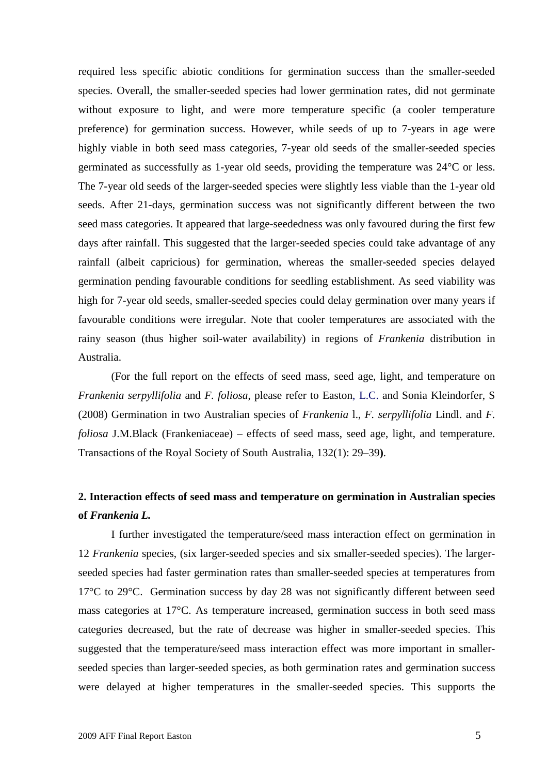required less specific abiotic conditions for germination success than the smaller-seeded species. Overall, the smaller-seeded species had lower germination rates, did not germinate without exposure to light, and were more temperature specific (a cooler temperature preference) for germination success. However, while seeds of up to 7-years in age were highly viable in both seed mass categories, 7-year old seeds of the smaller-seeded species germinated as successfully as 1-year old seeds, providing the temperature was 24°C or less. The 7-year old seeds of the larger-seeded species were slightly less viable than the 1-year old seeds. After 21-days, germination success was not significantly different between the two seed mass categories. It appeared that large-seededness was only favoured during the first few days after rainfall. This suggested that the larger-seeded species could take advantage of any rainfall (albeit capricious) for germination, whereas the smaller-seeded species delayed germination pending favourable conditions for seedling establishment. As seed viability was high for 7-year old seeds, smaller-seeded species could delay germination over many years if favourable conditions were irregular. Note that cooler temperatures are associated with the rainy season (thus higher soil-water availability) in regions of *Frankenia* distribution in Australia.

(For the full report on the effects of seed mass, seed age, light, and temperature on *Frankenia serpyllifolia* and *F. foliosa*, please refer to Easton, L.C. and Sonia Kleindorfer, S (2008) Germination in two Australian species of *Frankenia* l., *F. serpyllifolia* Lindl. and *F. foliosa* J.M.Black (Frankeniaceae) – effects of seed mass, seed age, light, and temperature. Transactions of the Royal Society of South Australia, 132(1): 29–39**)**.

### **2. Interaction effects of seed mass and temperature on germination in Australian species of** *Frankenia L.*

I further investigated the temperature/seed mass interaction effect on germination in 12 *Frankenia* species, (six larger-seeded species and six smaller-seeded species). The largerseeded species had faster germination rates than smaller-seeded species at temperatures from 17°C to 29°C. Germination success by day 28 was not significantly different between seed mass categories at 17°C. As temperature increased, germination success in both seed mass categories decreased, but the rate of decrease was higher in smaller-seeded species. This suggested that the temperature/seed mass interaction effect was more important in smallerseeded species than larger-seeded species, as both germination rates and germination success were delayed at higher temperatures in the smaller-seeded species. This supports the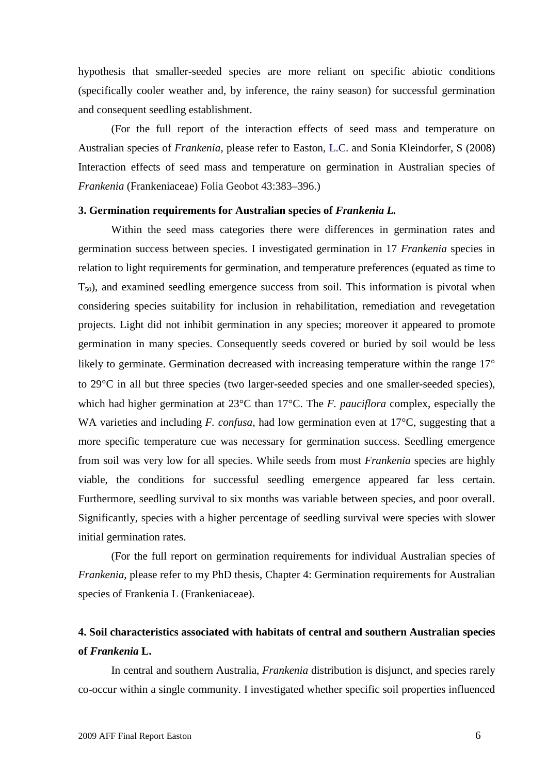hypothesis that smaller-seeded species are more reliant on specific abiotic conditions (specifically cooler weather and, by inference, the rainy season) for successful germination and consequent seedling establishment.

(For the full report of the interaction effects of seed mass and temperature on Australian species of *Frankenia*, please refer to Easton, L.C. and Sonia Kleindorfer, S (2008) Interaction effects of seed mass and temperature on germination in Australian species of *Frankenia* (Frankeniaceae) Folia Geobot 43:383–396.)

#### **3. Germination requirements for Australian species of** *Frankenia L.*

Within the seed mass categories there were differences in germination rates and germination success between species. I investigated germination in 17 *Frankenia* species in relation to light requirements for germination, and temperature preferences (equated as time to  $T_{50}$ , and examined seedling emergence success from soil. This information is pivotal when considering species suitability for inclusion in rehabilitation, remediation and revegetation projects. Light did not inhibit germination in any species; moreover it appeared to promote germination in many species. Consequently seeds covered or buried by soil would be less likely to germinate. Germination decreased with increasing temperature within the range 17<sup>o</sup> to 29C in all but three species (two larger-seeded species and one smaller-seeded species), which had higher germination at 23°C than 17°C. The *F. pauciflora* complex, especially the WA varieties and including *F. confusa*, had low germination even at 17°C, suggesting that a more specific temperature cue was necessary for germination success. Seedling emergence from soil was very low for all species. While seeds from most *Frankenia* species are highly viable, the conditions for successful seedling emergence appeared far less certain. Furthermore, seedling survival to six months was variable between species, and poor overall. Significantly, species with a higher percentage of seedling survival were species with slower initial germination rates.

(For the full report on germination requirements for individual Australian species of *Frankenia*, please refer to my PhD thesis, Chapter 4: Germination requirements for Australian species of Frankenia L (Frankeniaceae).

### **4. Soil characteristics associated with habitats of central and southern Australian species of** *Frankenia* **L.**

In central and southern Australia, *Frankenia* distribution is disjunct, and species rarely co-occur within a single community. I investigated whether specific soil properties influenced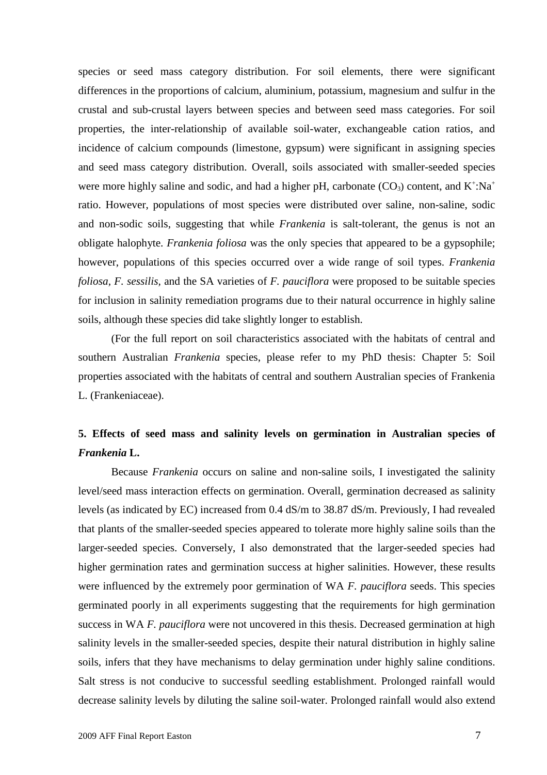species or seed mass category distribution. For soil elements, there were significant differences in the proportions of calcium, aluminium, potassium, magnesium and sulfur in the crustal and sub-crustal layers between species and between seed mass categories. For soil properties, the inter-relationship of available soil-water, exchangeable cation ratios, and incidence of calcium compounds (limestone, gypsum) were significant in assigning species and seed mass category distribution. Overall, soils associated with smaller-seeded species were more highly saline and sodic, and had a higher pH, carbonate  $(CO_3)$  content, and  $K^{\dagger}$ :Na<sup>+</sup> ratio. However, populations of most species were distributed over saline, non-saline, sodic and non-sodic soils, suggesting that while *Frankenia* is salt-tolerant, the genus is not an obligate halophyte. *Frankenia foliosa* was the only species that appeared to be a gypsophile; however, populations of this species occurred over a wide range of soil types. *Frankenia foliosa, F. sessilis,* and the SA varieties of *F. pauciflora* were proposed to be suitable species for inclusion in salinity remediation programs due to their natural occurrence in highly saline soils, although these species did take slightly longer to establish.

(For the full report on soil characteristics associated with the habitats of central and southern Australian *Frankenia* species, please refer to my PhD thesis: Chapter 5: Soil properties associated with the habitats of central and southern Australian species of Frankenia L. (Frankeniaceae).

# **5. Effects of seed mass and salinity levels on germination in Australian species of** *Frankenia* **L.**

Because *Frankenia* occurs on saline and non-saline soils, I investigated the salinity level/seed mass interaction effects on germination. Overall, germination decreased as salinity levels (as indicated by EC) increased from 0.4 dS/m to 38.87 dS/m. Previously, I had revealed that plants of the smaller-seeded species appeared to tolerate more highly saline soils than the larger-seeded species. Conversely, I also demonstrated that the larger-seeded species had higher germination rates and germination success at higher salinities. However, these results were influenced by the extremely poor germination of WA *F. pauciflora* seeds. This species germinated poorly in all experiments suggesting that the requirements for high germination success in WA *F. pauciflora* were not uncovered in this thesis. Decreased germination at high salinity levels in the smaller-seeded species, despite their natural distribution in highly saline soils, infers that they have mechanisms to delay germination under highly saline conditions. Salt stress is not conducive to successful seedling establishment. Prolonged rainfall would decrease salinity levels by diluting the saline soil-water. Prolonged rainfall would also extend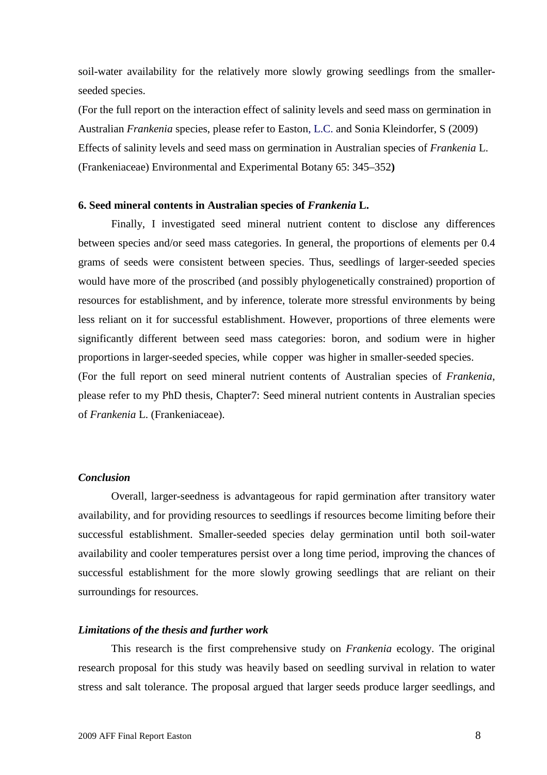soil-water availability for the relatively more slowly growing seedlings from the smallerseeded species.

(For the full report on the interaction effect of salinity levels and seed mass on germination in Australian *Frankenia* species, please refer to Easton, L.C. and Sonia Kleindorfer, S (2009) Effects of salinity levels and seed mass on germination in Australian species of *Frankenia* L. (Frankeniaceae) Environmental and Experimental Botany 65: 345–352**)**

#### **6. Seed mineral contents in Australian species of** *Frankenia* **L.**

Finally, I investigated seed mineral nutrient content to disclose any differences between species and/or seed mass categories. In general, the proportions of elements per 0.4 grams of seeds were consistent between species. Thus, seedlings of larger-seeded species would have more of the proscribed (and possibly phylogenetically constrained) proportion of resources for establishment, and by inference, tolerate more stressful environments by being less reliant on it for successful establishment. However, proportions of three elements were significantly different between seed mass categories: boron, and sodium were in higher proportions in larger-seeded species, while copper was higher in smaller-seeded species. (For the full report on seed mineral nutrient contents of Australian species of *Frankenia*, please refer to my PhD thesis, Chapter7: Seed mineral nutrient contents in Australian species of *Frankenia* L. (Frankeniaceae).

#### *Conclusion*

Overall, larger-seedness is advantageous for rapid germination after transitory water availability, and for providing resources to seedlings if resources become limiting before their successful establishment. Smaller-seeded species delay germination until both soil-water availability and cooler temperatures persist over a long time period, improving the chances of successful establishment for the more slowly growing seedlings that are reliant on their surroundings for resources.

#### *Limitations of the thesis and further work*

This research is the first comprehensive study on *Frankenia* ecology. The original research proposal for this study was heavily based on seedling survival in relation to water stress and salt tolerance. The proposal argued that larger seeds produce larger seedlings, and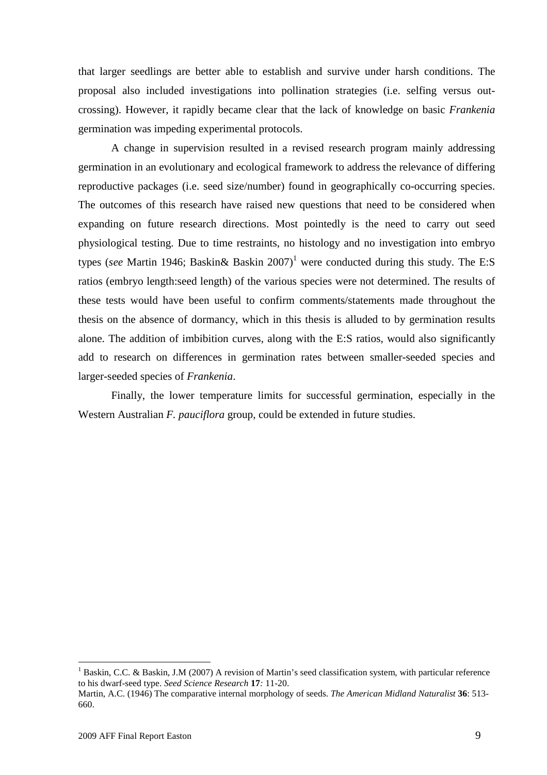that larger seedlings are better able to establish and survive under harsh conditions. The proposal also included investigations into pollination strategies (i.e. selfing versus outcrossing). However, it rapidly became clear that the lack of knowledge on basic *Frankenia* germination was impeding experimental protocols.

A change in supervision resulted in a revised research program mainly addressing germination in an evolutionary and ecological framework to address the relevance of differing reproductive packages (i.e. seed size/number) found in geographically co-occurring species. The outcomes of this research have raised new questions that need to be considered when expanding on future research directions. Most pointedly is the need to carry out seed physiological testing. Due to time restraints, no histology and no investigation into embryo types(*see* Martin 1946; Baskin & Baskin  $2007$ <sup>1</sup> were conducted during this study. The E:S ratios (embryo length:seed length) of the various species were not determined. The results of these tests would have been useful to confirm comments/statements made throughout the thesis on the absence of dormancy, which in this thesis is alluded to by germination results alone. The addition of imbibition curves, along with the E:S ratios, would also significantly add to research on differences in germination rates between smaller-seeded species and larger-seeded species of *Frankenia*.

Finally, the lower temperature limits for successful germination, especially in the Western Australian *F. pauciflora* group, could be extended in future studies.

<span id="page-9-0"></span><sup>&</sup>lt;sup>1</sup> Baskin, C.C. & Baskin, J.M (2007) A revision of Martin's seed classification system, with particular reference to his dwarf-seed type. *Seed Science Research* **17***:* 11-20.

Martin, A.C. (1946) The comparative internal morphology of seeds. *The American Midland Naturalist* **36**: 513- 660.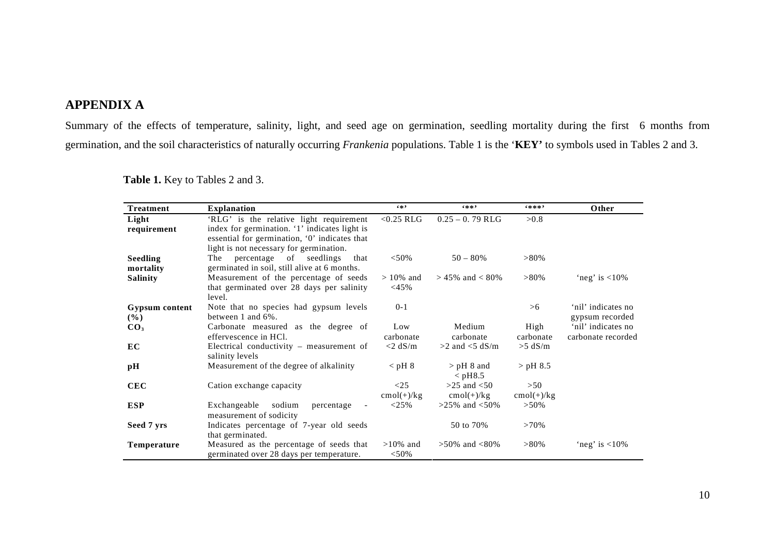### **APPENDIX A**

Summary of the effects of temperature, salinity, light, and seed age on germination, seedling mortality during the first 6 months from germination, and the soil characteristics of naturally occurring *Frankenia* populations. Table 1 is the '**KEY'** to symbols used in Tables 2 and 3.

| <b>Treatment</b> | <b>Explanation</b>                                               | $6 * 9$      | $6 * * 9$             | 6米米米?        | Other              |
|------------------|------------------------------------------------------------------|--------------|-----------------------|--------------|--------------------|
| Light            | 'RLG' is the relative light requirement                          | $<$ 0.25 RLG | $0.25 - 0.79$ RLG     | >0.8         |                    |
| requirement      | index for germination. '1' indicates light is                    |              |                       |              |                    |
|                  | essential for germination, '0' indicates that                    |              |                       |              |                    |
|                  | light is not necessary for germination.                          |              |                       |              |                    |
| <b>Seedling</b>  | The percentage of seedlings<br>that                              | $< 50\%$     | $50 - 80\%$           | $>80\%$      |                    |
| mortality        | germinated in soil, still alive at 6 months.                     |              |                       |              |                    |
| <b>Salinity</b>  | Measurement of the percentage of seeds                           | $>10\%$ and  | $> 45\%$ and $< 80\%$ | $>80\%$      | 'neg' is $<$ 10%   |
|                  | that germinated over 28 days per salinity                        | $<$ 45%      |                       |              |                    |
|                  | level.                                                           |              |                       |              |                    |
| Gypsum content   | Note that no species had gypsum levels                           | $0 - 1$      |                       | >6           | 'nil' indicates no |
| $($ %)           | between 1 and $6\%$ .                                            |              |                       |              | gypsum recorded    |
| CO <sub>3</sub>  | Carbonate measured as the degree of                              | Low          | Medium                | High         | 'nil' indicates no |
|                  | effervescence in HCl.                                            | carbonate    | carbonate             | carbonate    | carbonate recorded |
| EC               | Electrical conductivity $-$ measurement of                       | $<$ 2 dS/m   | $>2$ and $<$ 5 dS/m   | $>5$ dS/m    |                    |
|                  | salinity levels                                                  |              |                       |              |                    |
| $\mathbf{p}$ H   | Measurement of the degree of alkalinity                          | $<$ pH $8$   | $>$ pH 8 and          | $>$ pH 8.5   |                    |
|                  |                                                                  |              | $<$ pH8.5             |              |                    |
| <b>CEC</b>       | Cation exchange capacity                                         | <25          | $>25$ and $< 50$      | >50          |                    |
|                  |                                                                  | $cmol(+)/kg$ | $cmol(+)/kg$          | $cmol(+)/kg$ |                    |
| <b>ESP</b>       | sodium<br>Exchangeable<br>percentage<br>$\overline{\phantom{a}}$ | <25%         | $>25\%$ and $<50\%$   | $>50\%$      |                    |
|                  | measurement of sodicity                                          |              |                       |              |                    |
| Seed 7 yrs       | Indicates percentage of 7-year old seeds                         |              | 50 to 70%             | $>70\%$      |                    |
|                  | that germinated.                                                 |              |                       |              |                    |
| Temperature      | Measured as the percentage of seeds that                         | $>10\%$ and  | $>50\%$ and $<80\%$   | $>80\%$      | 'neg' is $<$ 10%   |
|                  | germinated over 28 days per temperature.                         | $< 50\%$     |                       |              |                    |

**Table 1.** Key to Tables 2 and 3.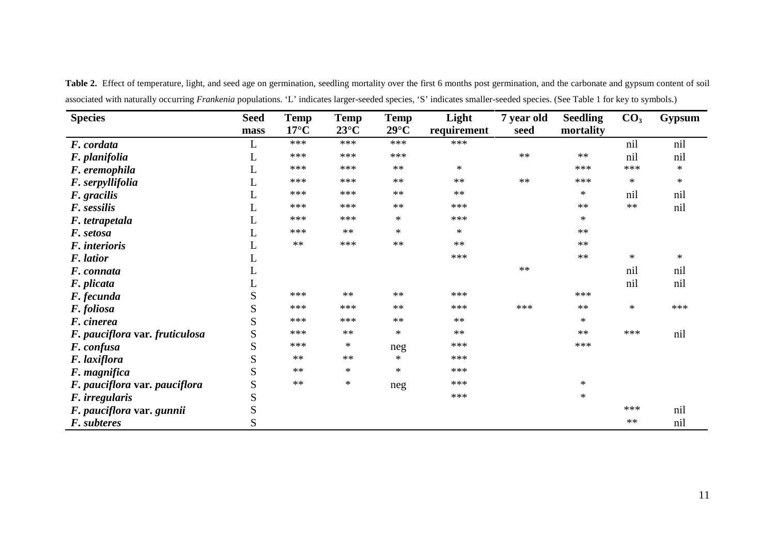**Species Seed mass Temp 17°C Temp 23°C Temp 29°C Light requirement 7 year old seed Seedling mortality CO<sup>3</sup> Gypsum** *F. cordata* L \*\*\* \*\*\* \*\*\* \*\*\* nil nil *F. planifolia* L \*\*\* \*\*\* \*\*\* \*\* \*\* nil nil *F. eremophila* L \*\*\* \*\*\* \*\* \* \*\*\* \*\*\* \* *F. serpyllifolia* L \*\*\* \*\*\* \*\* \*\* \*\* \*\*\* \* \* *F. gracilis* L \*\*\* \*\*\* \*\* \*\* \* nil nil *F. sessilis* L \*\*\* \*\*\* \*\* \*\*\* \*\* \*\* nil *F. tetrapetala* L \*\*\* \*\*\* \* \*\*\* \* *F. setosa* **L** \*\*\* \* \* \* \* \* \* \* \* \* \* *F. interioris* L \*\* \*\*\* \*\* \*\* \*\* *F. latior* L \*\*\* \*\* \* \* **F. connata** and the connuclear control of  $\mathbb{L}$  and  $\mathbb{L}$  and  $\mathbb{L}$  and  $\mathbb{L}$  and  $\mathbb{L}$  and  $\mathbb{L}$  and  $\mathbb{L}$  and  $\mathbb{L}$  and  $\mathbb{L}$  and  $\mathbb{L}$  and  $\mathbb{L}$  and  $\mathbb{L}$  and  $\mathbb{L}$  and  $\mathbb{L}$  a *F. plicata* L nil nil *F. fecunda* example and the set of  $S$  and  $**$  \*\*\* \*\*\* \*\*\* \*\*\* \*\*\* \*\*\* \*\*\* \*\*\* *F. foliosa* S \*\*\* \*\*\* \*\* \*\*\* \*\*\* \*\* \* \*\*\* **F. cinerea**  $S$  \*\*\* \*\*\* \*\* \*\* \*\* \*\* \*\* \*\* \*\* \*\* *F. pauciflora* var. *fruticulosa* S \*\*\* \*\* \*\* \*\* \*\* \*\* \*\* \*\* \*\* \*\* nil *F. confusa* **S** \*\*\* \* neg \*\*\* \* \* \* \* \* \* *F. laxiflora*  $S$  \*\* \*\* \* \*\* \*\*<br> *F. magnifica*  $S$  \*\* \* \* \* \*\*\* *F. magnifica* S \*\* \* \* \* \* \* \* \* *F. pauciflora* **var.** *pauciflora* S \*\* \* neg \*\*\* **\*** \* *F. irregularis*  $\qquad \qquad$   $\qquad \qquad$   $\qquad \qquad$   $\qquad \qquad$   $\qquad \qquad$   $\qquad \qquad$   $\qquad \qquad$   $\qquad \qquad$   $\qquad \qquad$   $\qquad \qquad$   $\qquad \qquad$   $\qquad \qquad$   $\qquad \qquad$   $\qquad \qquad$   $\qquad \qquad$   $\qquad \qquad$   $\qquad \qquad$   $\qquad \qquad$   $\qquad \qquad$   $\qquad \qquad$   $\qquad \qquad$   $\qquad \qquad$   $\qquad \qquad$ *F. pauciflora* **var.** *gunnii* S \*\*\* nil *F. subteres* S \*\* nil

Table 2. Effect of temperature, light, and seed age on germination, seedling mortality over the first 6 months post germination, and the carbonate and gypsum content of soil associated with naturally occurring *Frankenia* populations. 'L' indicates larger-seeded species, 'S' indicates smaller-seeded species. (See Table 1 for key to symbols.)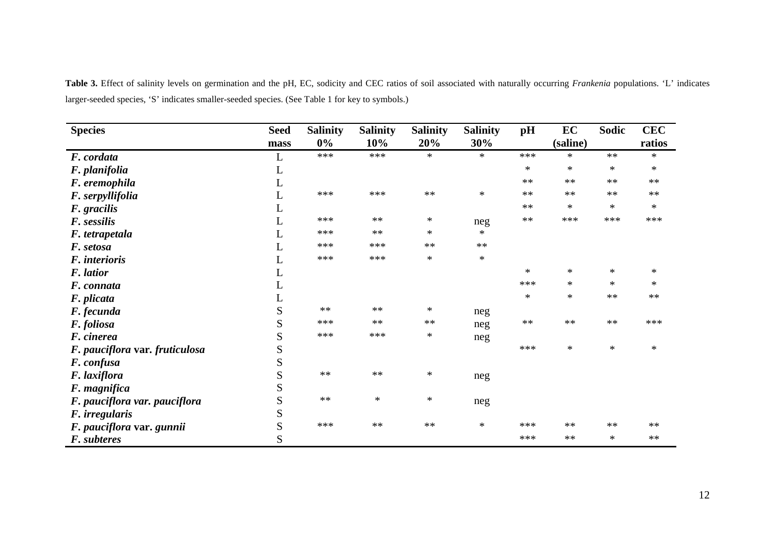| <b>Species</b>                 | <b>Seed</b> | <b>Salinity</b> | <b>Salinity</b> | <b>Salinity</b> | <b>Salinity</b> | pH     | EC       | Sodic  | <b>CEC</b> |
|--------------------------------|-------------|-----------------|-----------------|-----------------|-----------------|--------|----------|--------|------------|
|                                | mass        | $0\%$           | 10%             | 20%             | 30%             |        | (saline) |        | ratios     |
| F. cordata                     | L           | ***             | ***             | $\ast$          | $\ast$          | ***    | $*$      | $**$   | $\ast$     |
| F. planifolia                  | L           |                 |                 |                 |                 | $\ast$ | $\ast$   | $\ast$ | $\ast$     |
| F. eremophila                  | L           |                 |                 |                 |                 | $**$   | **       | $**$   | $**$       |
| F. serpyllifolia               | L           | ***             | ***             | $**$            | $\ast$          | $**$   | **       | $**$   | $**$       |
| F. gracilis                    | L           |                 |                 |                 |                 | $**$   | $\ast$   | $\ast$ | ∗          |
| F. sessilis                    | L           | ***             | $**$            | $\ast$          | neg             | $**$   | ***      | ***    | ***        |
| F. tetrapetala                 | L           | ***             | $\ast\ast$      | $\ast$          | $*$             |        |          |        |            |
| F. setosa                      | L           | ***             | ***             | $**$            | $**$            |        |          |        |            |
| F. interioris                  | L           | ***             | ***             | $\ast$          | $\ast$          |        |          |        |            |
| F. latior                      | L           |                 |                 |                 |                 | *      | $\ast$   | $\ast$ | ∗          |
| F. connata                     | L           |                 |                 |                 |                 | ***    | $\ast$   | $\ast$ | $\ast$     |
| F. plicata                     | L           |                 |                 |                 |                 | $\ast$ | $\ast$   | $**$   | $**$       |
| F. fecunda                     | S           | $**$            | $\ast\ast$      | $\ast$          | neg             |        |          |        |            |
| F. foliosa                     | S           | ***             | $**$            | **              | neg             | $**$   | $**$     | $**$   | ***        |
| F. cinerea                     | S           | ***             | ***             | $\ast$          | neg             |        |          |        |            |
| F. pauciflora var. fruticulosa | S           |                 |                 |                 |                 | ***    | $\ast$   | $\ast$ | $\ast$     |
| F. confusa                     | S           |                 |                 |                 |                 |        |          |        |            |
| F. laxiflora                   | S           | $**$            | $**$            | $\ast$          | neg             |        |          |        |            |
| F. magnifica                   | S           |                 |                 |                 |                 |        |          |        |            |
| F. pauciflora var. pauciflora  | S           | $**$            | $\ast$          | $\ast$          | neg             |        |          |        |            |
| F. irregularis                 | S           |                 |                 |                 |                 |        |          |        |            |
| F. pauciflora var. gunnii      | S           | ***             | $**$            | $\ast\ast$      | $\ast$          | ***    | $**$     | $**$   | $**$       |
| F. subteres                    | S           |                 |                 |                 |                 | ***    | $**$     | $\ast$ | $**$       |

**Table 3.** Effect of salinity levels on germination and the pH, EC, sodicity and CEC ratios of soil associated with naturally occurring *Frankenia* populations. 'L' indicates larger-seeded species, 'S' indicates smaller-seeded species. (See Table 1 for key to symbols.)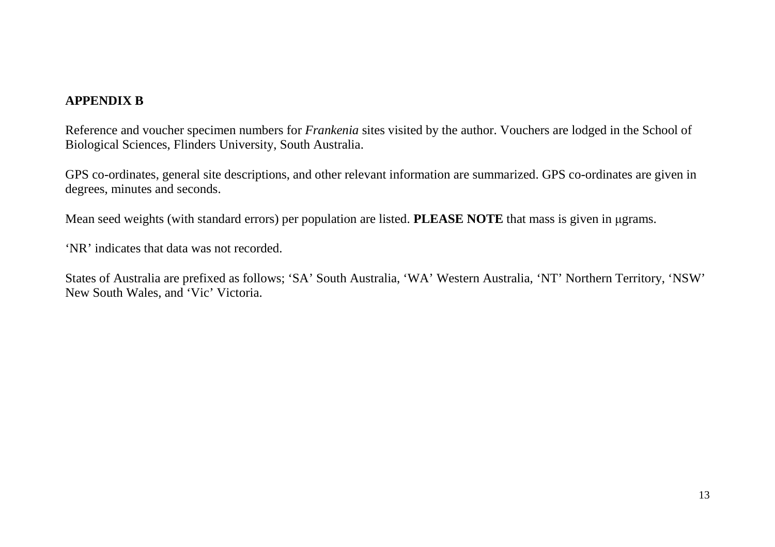### **APPENDIX B**

Reference and voucher specimen numbers for *Frankenia* sites visited by the author. Vouchers are lodged in the School of Biological Sciences, Flinders University, South Australia.

GPS co-ordinates, general site descriptions, and other relevant information are summarized. GPS co-ordinates are given in degrees, minutes and seconds.

Mean seed weights (with standard errors) per population are listed. **PLEASE NOTE** that mass is given in μgrams.

'NR' indicates that data was not recorded.

States of Australia are prefixed as follows; 'SA' South Australia, 'WA' Western Australia, 'NT' Northern Territory, 'NSW' New South Wales, and 'Vic' Victoria.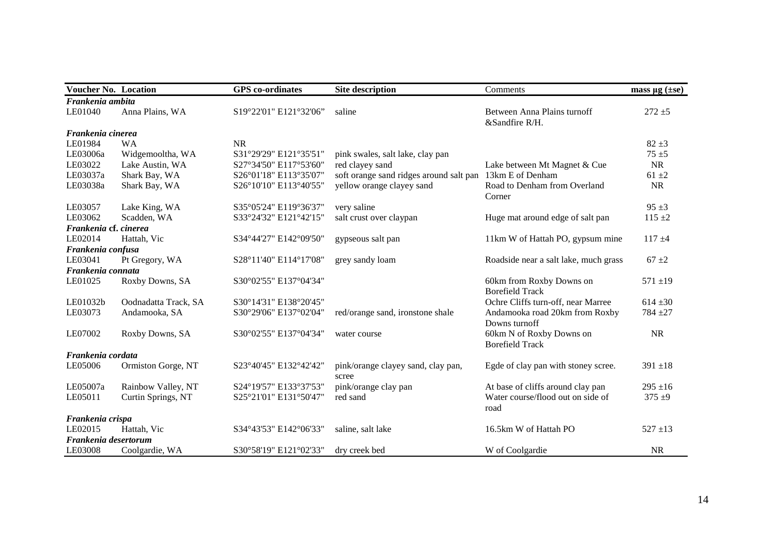| <b>Voucher No. Location</b> |                      | <b>GPS</b> co-ordinates | <b>Site description</b>                     | Comments                                           | mass $\mu$ g ( $\pm$ se) |
|-----------------------------|----------------------|-------------------------|---------------------------------------------|----------------------------------------------------|--------------------------|
| Frankenia ambita            |                      |                         |                                             |                                                    |                          |
| LE01040                     | Anna Plains, WA      | S19°22'01" E121°32'06"  | saline                                      | Between Anna Plains turnoff<br>&Sandfire R/H.      | $272 + 5$                |
| Frankenia cinerea           |                      |                         |                                             |                                                    |                          |
| LE01984                     | <b>WA</b>            | <b>NR</b>               |                                             |                                                    | $82 \pm 3$               |
| LE03006a                    | Widgemooltha, WA     | S31°29'29" E121°35'51"  | pink swales, salt lake, clay pan            |                                                    | $75 + 5$                 |
| LE03022                     | Lake Austin, WA      | S27°34'50" E117°53'60"  | red clayey sand                             | Lake between Mt Magnet & Cue                       | <b>NR</b>                |
| LE03037a                    | Shark Bay, WA        | S26°01'18" E113°35'07"  | soft orange sand ridges around salt pan     | 13km E of Denham                                   | $61 \pm 2$               |
| LE03038a                    | Shark Bay, WA        | S26°10'10" E113°40'55"  | yellow orange clayey sand                   | Road to Denham from Overland                       | <b>NR</b>                |
|                             |                      |                         |                                             | Corner                                             |                          |
| LE03057                     | Lake King, WA        | S35°05'24" E119°36'37"  | very saline                                 |                                                    | $95 \pm 3$               |
| LE03062                     | Scadden, WA          | S33°24'32" E121°42'15"  | salt crust over claypan                     | Huge mat around edge of salt pan                   | $115 + 2$                |
| Frankenia cf. cinerea       |                      |                         |                                             |                                                    |                          |
| LE02014                     | Hattah, Vic          | S34°44'27" E142°09'50"  | gypseous salt pan                           | 11km W of Hattah PO, gypsum mine                   | $117 + 4$                |
| Frankenia confusa           |                      |                         |                                             |                                                    |                          |
| LE03041                     | Pt Gregory, WA       | S28°11'40" E114°17'08"  | grey sandy loam                             | Roadside near a salt lake, much grass              | $67 \pm 2$               |
| Frankenia connata           |                      |                         |                                             |                                                    |                          |
| LE01025                     | Roxby Downs, SA      | S30°02'55" E137°04'34"  |                                             | 60km from Roxby Downs on<br><b>Borefield Track</b> | $571 + 19$               |
| LE01032b                    | Oodnadatta Track, SA | S30°14'31" E138°20'45"  |                                             | Ochre Cliffs turn-off, near Marree                 | $614 \pm 30$             |
| LE03073                     | Andamooka, SA        | S30°29'06" E137°02'04"  | red/orange sand, ironstone shale            | Andamooka road 20km from Roxby                     | $784 + 27$               |
|                             |                      |                         |                                             | Downs turnoff                                      |                          |
| LE07002                     | Roxby Downs, SA      | S30°02'55" E137°04'34"  | water course                                | 60km N of Roxby Downs on<br><b>Borefield Track</b> | <b>NR</b>                |
| Frankenia cordata           |                      |                         |                                             |                                                    |                          |
| LE05006                     | Ormiston Gorge, NT   | S23°40'45" E132°42'42"  | pink/orange clayey sand, clay pan,<br>scree | Egde of clay pan with stoney scree.                | $391 \pm 18$             |
| LE05007a                    | Rainbow Valley, NT   | S24°19'57" E133°37'53"  | pink/orange clay pan                        | At base of cliffs around clay pan                  | $295 \pm 16$             |
| LE05011                     | Curtin Springs, NT   | S25°21'01" E131°50'47"  | red sand                                    | Water course/flood out on side of                  | $375 + 9$                |
|                             |                      |                         |                                             | road                                               |                          |
| Frankenia crispa            |                      |                         |                                             |                                                    |                          |
| LE02015                     | Hattah, Vic          | S34°43'53" E142°06'33"  | saline, salt lake                           | 16.5km W of Hattah PO                              | $527 \pm 13$             |
| Frankenia desertorum        |                      |                         |                                             |                                                    |                          |
| LE03008                     | Coolgardie, WA       | S30°58'19" E121°02'33"  | dry creek bed                               | W of Coolgardie                                    | <b>NR</b>                |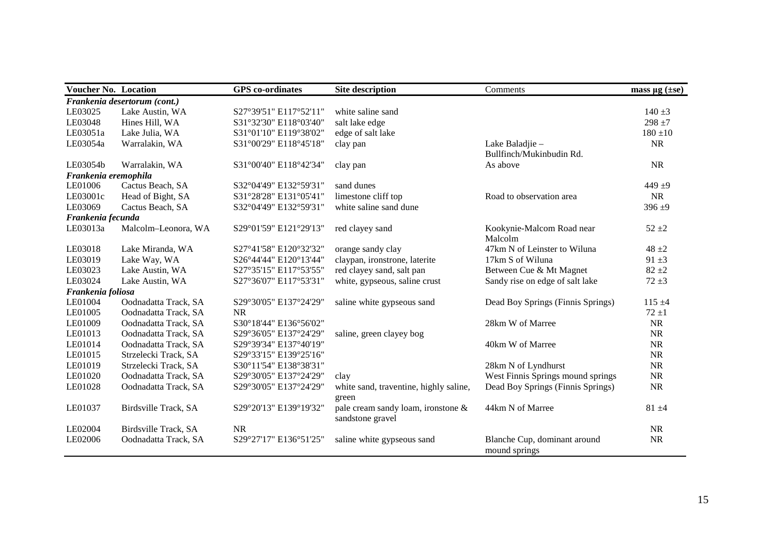| <b>Voucher No. Location</b> |                              | <b>GPS</b> co-ordinates | <b>Site description</b>                | Comments                          | mass $\mu$ g ( $\pm$ se) |
|-----------------------------|------------------------------|-------------------------|----------------------------------------|-----------------------------------|--------------------------|
|                             | Frankenia desertorum (cont.) |                         |                                        |                                   |                          |
| LE03025                     | Lake Austin, WA              | S27°39'51" E117°52'11"  | white saline sand                      |                                   | $140 \pm 3$              |
| LE03048                     | Hines Hill, WA               | S31°32'30" E118°03'40"  | salt lake edge                         |                                   | $298 + 7$                |
| LE03051a                    | Lake Julia, WA               | S31°01'10" E119°38'02"  | edge of salt lake                      |                                   | $180 + 10$               |
| LE03054a                    | Warralakin, WA               | S31°00'29" E118°45'18"  | clay pan                               | Lake Baladjie -                   | <b>NR</b>                |
|                             |                              |                         |                                        | Bullfinch/Mukinbudin Rd.          |                          |
| LE03054b                    | Warralakin, WA               | S31°00'40" E118°42'34"  | clay pan                               | As above                          | <b>NR</b>                |
| Frankenia eremophila        |                              |                         |                                        |                                   |                          |
| LE01006                     | Cactus Beach, SA             | S32°04'49" E132°59'31"  | sand dunes                             |                                   | 449 $±9$                 |
| LE03001c                    | Head of Bight, SA            | S31°28'28" E131°05'41"  | limestone cliff top                    | Road to observation area          | <b>NR</b>                |
| LE03069                     | Cactus Beach, SA             | S32°04'49" E132°59'31"  | white saline sand dune                 |                                   | $396 + 9$                |
| Frankenia fecunda           |                              |                         |                                        |                                   |                          |
| LE03013a                    | Malcolm-Leonora, WA          | S29°01'59" E121°29'13"  | red clayey sand                        | Kookynie-Malcom Road near         | $52 + 2$                 |
|                             |                              |                         |                                        | Malcolm                           |                          |
| LE03018                     | Lake Miranda, WA             | S27°41'58" E120°32'32"  | orange sandy clay                      | 47km N of Leinster to Wiluna      | $48 + 2$                 |
| LE03019                     | Lake Way, WA                 | S26°44'44" E120°13'44"  | claypan, ironstrone, laterite          | 17km S of Wiluna                  | $91 \pm 3$               |
| LE03023                     | Lake Austin, WA              | S27°35'15" E117°53'55"  | red clayey sand, salt pan              | Between Cue & Mt Magnet           | $82 + 2$                 |
| LE03024                     | Lake Austin, WA              | S27°36'07" E117°53'31"  | white, gypseous, saline crust          | Sandy rise on edge of salt lake   | $72 + 3$                 |
| Frankenia foliosa           |                              |                         |                                        |                                   |                          |
| LE01004                     | Oodnadatta Track, SA         | S29°30'05" E137°24'29"  | saline white gypseous sand             | Dead Boy Springs (Finnis Springs) | $115 + 4$                |
| LE01005                     | Oodnadatta Track, SA         | <b>NR</b>               |                                        |                                   | $72 + 1$                 |
| LE01009                     | Oodnadatta Track, SA         | S30°18'44" E136°56'02"  |                                        | 28km W of Marree                  | <b>NR</b>                |
| LE01013                     | Oodnadatta Track, SA         | S29°36'05" E137°24'29"  | saline, green clayey bog               |                                   | <b>NR</b>                |
| LE01014                     | Oodnadatta Track, SA         | S29°39'34" E137°40'19"  |                                        | 40km W of Marree                  | <b>NR</b>                |
| LE01015                     | Strzelecki Track, SA         | S29°33'15" E139°25'16"  |                                        |                                   | <b>NR</b>                |
| LE01019                     | Strzelecki Track, SA         | S30°11'54" E138°38'31"  |                                        | 28km N of Lyndhurst               | <b>NR</b>                |
| LE01020                     | Oodnadatta Track, SA         | S29°30'05" E137°24'29"  | clay                                   | West Finnis Springs mound springs | <b>NR</b>                |
| LE01028                     | Oodnadatta Track, SA         | S29°30'05" E137°24'29"  | white sand, traventine, highly saline, | Dead Boy Springs (Finnis Springs) | <b>NR</b>                |
|                             |                              |                         | green                                  |                                   |                          |
| LE01037                     | Birdsville Track, SA         | S29°20'13" E139°19'32"  | pale cream sandy loam, ironstone &     | 44km N of Marree                  | $81 + 4$                 |
|                             |                              |                         | sandstone gravel                       |                                   |                          |
| LE02004                     | Birdsville Track, SA         | <b>NR</b>               |                                        |                                   | <b>NR</b>                |
| LE02006                     | Oodnadatta Track, SA         | S29°27'17" E136°51'25"  | saline white gypseous sand             | Blanche Cup, dominant around      | <b>NR</b>                |
|                             |                              |                         |                                        | mound springs                     |                          |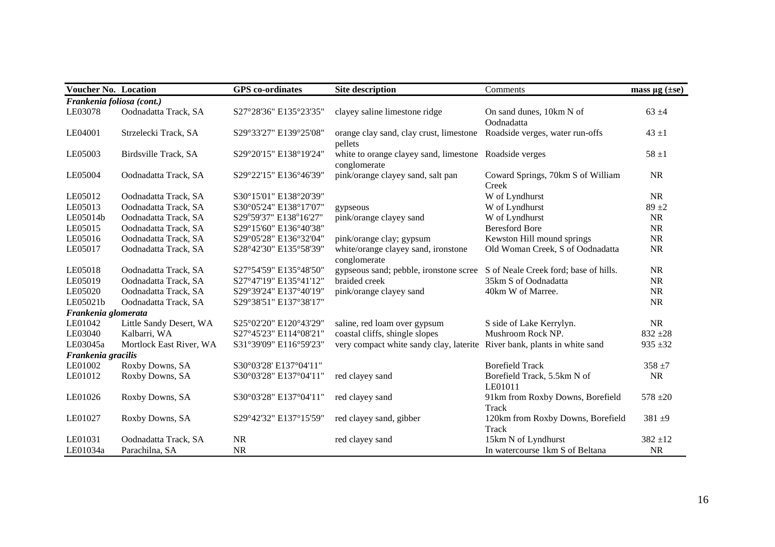| <b>Voucher No. Location</b> |                         | <b>GPS</b> co-ordinates | <b>Site description</b>                                                  | Comments                                   | mass $\mu$ g ( $\pm$ se) |
|-----------------------------|-------------------------|-------------------------|--------------------------------------------------------------------------|--------------------------------------------|--------------------------|
| Frankenia foliosa (cont.)   |                         |                         |                                                                          |                                            |                          |
| LE03078                     | Oodnadatta Track, SA    | S27°28'36" E135°23'35"  | clayey saline limestone ridge                                            | On sand dunes, 10km N of<br>Oodnadatta     | $63 + 4$                 |
| LE04001                     | Strzelecki Track, SA    | S29°33'27" E139°25'08"  | orange clay sand, clay crust, limestone<br>pellets                       | Roadside verges, water run-offs            | $43 + 1$                 |
| LE05003                     | Birdsville Track, SA    | S29°20'15" E138°19'24"  | white to orange clayey sand, limestone<br>conglomerate                   | Roadside verges                            | $58 \pm 1$               |
| LE05004                     | Oodnadatta Track, SA    | S29°22'15" E136°46'39"  | pink/orange clayey sand, salt pan                                        | Coward Springs, 70km S of William<br>Creek | <b>NR</b>                |
| LE05012                     | Oodnadatta Track, SA    | S30°15'01" E138°20'39"  |                                                                          | W of Lyndhurst                             | <b>NR</b>                |
| LE05013                     | Oodnadatta Track, SA    | S30°05'24" E138°17'07"  | gypseous                                                                 | W of Lyndhurst                             | $89 + 2$                 |
| LE05014b                    | Oodnadatta Track, SA    | S29°59'37" E138°16'27"  | pink/orange clayey sand                                                  | W of Lyndhurst                             | <b>NR</b>                |
| LE05015                     | Oodnadatta Track, SA    | S29°15'60" E136°40'38"  |                                                                          | <b>Beresford Bore</b>                      | <b>NR</b>                |
| LE05016                     | Oodnadatta Track, SA    | S29°05'28" E136°32'04"  | pink/orange clay; gypsum                                                 | Kewston Hill mound springs                 | $\rm NR$                 |
| LE05017                     | Oodnadatta Track, SA    | S28°42'30" E135°58'39"  | white/orange clayey sand, ironstone<br>conglomerate                      | Old Woman Creek, S of Oodnadatta           | $\rm NR$                 |
| LE05018                     | Oodnadatta Track, SA    | S27°54'59" E135°48'50"  | gypseous sand; pebble, ironstone scree                                   | S of Neale Creek ford; base of hills.      | NR                       |
| LE05019                     | Oodnadatta Track, SA    | S27°47'19" E135°41'12"  | braided creek                                                            | 35km S of Oodnadatta                       | <b>NR</b>                |
| LE05020                     | Oodnadatta Track, SA    | S29°39'24" E137°40'19"  | pink/orange clayey sand                                                  | 40km W of Marree.                          | <b>NR</b>                |
| LE05021b                    | Oodnadatta Track, SA    | S29°38'51" E137°38'17"  |                                                                          |                                            | <b>NR</b>                |
| Frankenia glomerata         |                         |                         |                                                                          |                                            |                          |
| LE01042                     | Little Sandy Desert, WA | S25°02'20" E120°43'29"  | saline, red loam over gypsum                                             | S side of Lake Kerrylyn.                   | <b>NR</b>                |
| LE03040                     | Kalbarri, WA            | S27°45'23" E114°08'21"  | coastal cliffs, shingle slopes                                           | Mushroom Rock NP.                          | $832 + 28$               |
| LE03045a                    | Mortlock East River, WA | S31°39'09" E116°59'23"  | very compact white sandy clay, laterite River bank, plants in white sand |                                            | $935 + 32$               |
| Frankenia gracilis          |                         |                         |                                                                          |                                            |                          |
| LE01002                     | Roxby Downs, SA         | S30°03'28' E137°04'11"  |                                                                          | <b>Borefield Track</b>                     | $358 + 7$                |
| LE01012                     | Roxby Downs, SA         | S30°03'28" E137°04'11"  | red clayey sand                                                          | Borefield Track, 5.5km N of<br>LE01011     | <b>NR</b>                |
| LE01026                     | Roxby Downs, SA         | S30°03'28" E137°04'11"  | red clayey sand                                                          | 91km from Roxby Downs, Borefield<br>Track  | $578 + 20$               |
| LE01027                     | Roxby Downs, SA         | S29°42'32" E137°15'59"  | red clayey sand, gibber                                                  | 120km from Roxby Downs, Borefield<br>Track | $381 + 9$                |
| LE01031                     | Oodnadatta Track, SA    | <b>NR</b>               | red clayey sand                                                          | 15km N of Lyndhurst                        | $382 + 12$               |
| LE01034a                    | Parachilna, SA          | <b>NR</b>               |                                                                          | In watercourse 1km S of Beltana            | $\rm NR$                 |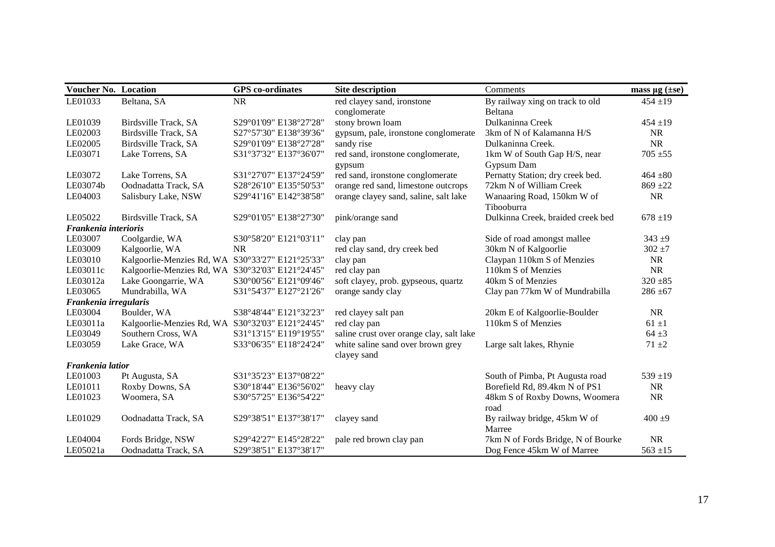| <b>Voucher No. Location</b> |                                                  | <b>GPS</b> co-ordinates | Site description                         | Comments                           | mass $\mu$ g ( $\pm$ se) |
|-----------------------------|--------------------------------------------------|-------------------------|------------------------------------------|------------------------------------|--------------------------|
| LE01033                     | Beltana, SA                                      | <b>NR</b>               | red clayey sand, ironstone               | By railway xing on track to old    | $454 + 19$               |
|                             |                                                  |                         | conglomerate                             | Beltana                            |                          |
| LE01039                     | Birdsville Track, SA                             | S29°01'09" E138°27'28"  | stony brown loam                         | Dulkaninna Creek                   | $454 + 19$               |
| LE02003                     | Birdsville Track, SA                             | S27°57'30" E138°39'36"  | gypsum, pale, ironstone conglomerate     | 3km of N of Kalamanna H/S          | <b>NR</b>                |
| LE02005                     | Birdsville Track, SA                             | S29°01'09" E138°27'28"  | sandy rise                               | Dulkaninna Creek.                  | <b>NR</b>                |
| LE03071                     | Lake Torrens, SA                                 | S31°37'32" E137°36'07"  | red sand, ironstone conglomerate,        | 1km W of South Gap H/S, near       | $705 + 55$               |
|                             |                                                  |                         | gypsum                                   | Gypsum Dam                         |                          |
| LE03072                     | Lake Torrens, SA                                 | S31°27'07" E137°24'59"  | red sand, ironstone conglomerate         | Pernatty Station; dry creek bed.   | $464 + 80$               |
| LE03074b                    | Oodnadatta Track, SA                             | S28°26'10" E135°50'53"  | orange red sand, limestone outcrops      | 72km N of William Creek            | $869 + 22$               |
| LE04003                     | Salisbury Lake, NSW                              | S29°41'16" E142°38'58"  | orange clayey sand, saline, salt lake    | Wanaaring Road, 150km W of         | <b>NR</b>                |
|                             |                                                  |                         |                                          | Tibooburra                         |                          |
| LE05022                     | Birdsville Track, SA                             | S29°01'05" E138°27'30"  | pink/orange sand                         | Dulkinna Creek, braided creek bed  | $678 + 19$               |
| Frankenia interioris        |                                                  |                         |                                          |                                    |                          |
| LE03007                     | Coolgardie, WA                                   | S30°58'20" E121°03'11"  | clay pan                                 | Side of road amongst mallee        | $343 + 9$                |
| LE03009                     | Kalgoorlie, WA                                   | <b>NR</b>               | red clay sand, dry creek bed             | 30km N of Kalgoorlie               | $302 + 7$                |
| LE03010                     | Kalgoorlie-Menzies Rd, WA S30°33'27" E121°25'33" |                         | clay pan                                 | Claypan 110km S of Menzies         | <b>NR</b>                |
| LE03011c                    | Kalgoorlie-Menzies Rd, WA S30°32'03" E121°24'45" |                         | red clay pan                             | 110km S of Menzies                 | <b>NR</b>                |
| LE03012a                    | Lake Goongarrie, WA                              | S30°00'56" E121°09'46"  | soft clayey, prob. gypseous, quartz      | 40km S of Menzies                  | $320 + 85$               |
| LE03065                     | Mundrabilla, WA                                  | S31°54'37" E127°21'26"  | orange sandy clay                        | Clay pan 77km W of Mundrabilla     | $286 + 67$               |
| Frankenia irregularis       |                                                  |                         |                                          |                                    |                          |
| LE03004                     | Boulder, WA                                      | S38°48'44" E121°32'23"  | red clayey salt pan                      | 20km E of Kalgoorlie-Boulder       | <b>NR</b>                |
| LE03011a                    | Kalgoorlie-Menzies Rd, WA S30°32'03" E121°24'45" |                         | red clay pan                             | 110km S of Menzies                 | $61 \pm 1$               |
| LE03049                     | Southern Cross, WA                               | S31°13'15" E119°19'55"  | saline crust over orange clay, salt lake |                                    | $64 + 3$                 |
| LE03059                     | Lake Grace, WA                                   | S33°06'35" E118°24'24"  | white saline sand over brown grey        | Large salt lakes, Rhynie           | $71 + 2$                 |
|                             |                                                  |                         | clayey sand                              |                                    |                          |
| Frankenia latior            |                                                  |                         |                                          |                                    |                          |
| LE01003                     | Pt Augusta, SA                                   | S31°35'23" E137°08'22"  |                                          | South of Pimba, Pt Augusta road    | $539 + 19$               |
| LE01011                     | Roxby Downs, SA                                  | S30°18'44" E136°56'02"  | heavy clay                               | Borefield Rd, 89.4km N of PS1      | <b>NR</b>                |
| LE01023                     | Woomera, SA                                      | S30°57'25" E136°54'22"  |                                          | 48km S of Roxby Downs, Woomera     | <b>NR</b>                |
|                             |                                                  |                         |                                          | road                               |                          |
| LE01029                     | Oodnadatta Track, SA                             | S29°38'51" E137°38'17"  | clayey sand                              | By railway bridge, 45km W of       | $400 + 9$                |
|                             |                                                  |                         |                                          | Marree                             |                          |
| LE04004                     | Fords Bridge, NSW                                | S29°42'27" E145°28'22"  | pale red brown clay pan                  | 7km N of Fords Bridge, N of Bourke | <b>NR</b>                |
| LE05021a                    | Oodnadatta Track, SA                             | S29°38'51" E137°38'17"  |                                          | Dog Fence 45km W of Marree         | $563 \pm 15$             |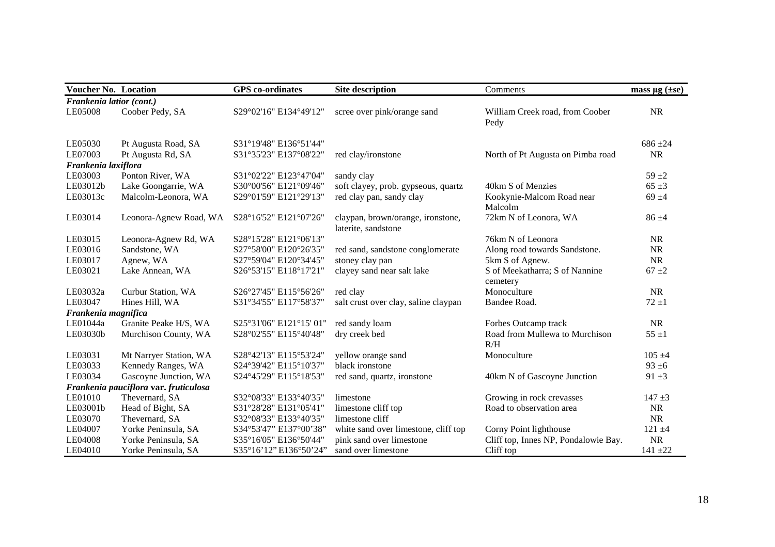| <b>Voucher No. Location</b> |                                       | <b>GPS</b> co-ordinates | <b>Site description</b>                                  | Comments                                   | mass $\mu$ g ( $\pm$ se) |
|-----------------------------|---------------------------------------|-------------------------|----------------------------------------------------------|--------------------------------------------|--------------------------|
| Frankenia latior (cont.)    |                                       |                         |                                                          |                                            |                          |
| LE05008                     | Coober Pedy, SA                       | S29°02'16" E134°49'12"  | scree over pink/orange sand                              | William Creek road, from Coober<br>Pedy    | <b>NR</b>                |
| LE05030                     | Pt Augusta Road, SA                   | S31°19'48" E136°51'44"  |                                                          |                                            | $686 + 24$               |
| LE07003                     | Pt Augusta Rd, SA                     | S31°35'23" E137°08'22"  | red clay/ironstone                                       | North of Pt Augusta on Pimba road          | <b>NR</b>                |
| Frankenia laxiflora         |                                       |                         |                                                          |                                            |                          |
| LE03003                     | Ponton River, WA                      | S31°02'22" E123°47'04"  | sandy clay                                               |                                            | $59 + 2$                 |
| LE03012b                    | Lake Goongarrie, WA                   | S30°00'56" E121°09'46"  | soft clayey, prob. gypseous, quartz                      | 40km S of Menzies                          | $65 \pm 3$               |
| LE03013c                    | Malcolm-Leonora, WA                   | S29°01'59" E121°29'13"  | red clay pan, sandy clay                                 | Kookynie-Malcom Road near<br>Malcolm       | $69 + 4$                 |
| LE03014                     | Leonora-Agnew Road, WA                | S28°16'52" E121°07'26"  | claypan, brown/orange, ironstone,<br>laterite, sandstone | 72km N of Leonora, WA                      | $86 + 4$                 |
| LE03015                     | Leonora-Agnew Rd, WA                  | S28°15'28" E121°06'13"  |                                                          | 76km N of Leonora                          | <b>NR</b>                |
| LE03016                     | Sandstone, WA                         | S27°58'00" E120°26'35"  | red sand, sandstone conglomerate                         | Along road towards Sandstone.              | <b>NR</b>                |
| LE03017                     | Agnew, WA                             | S27°59'04" E120°34'45"  | stoney clay pan                                          | 5km S of Agnew.                            | <b>NR</b>                |
| LE03021                     | Lake Annean, WA                       | S26°53'15" E118°17'21"  | clayey sand near salt lake                               | S of Meekatharra; S of Nannine<br>cemetery | $67 + 2$                 |
| LE03032a                    | Curbur Station, WA                    | S26°27'45" E115°56'26"  | red clay                                                 | Monoculture                                | <b>NR</b>                |
| LE03047                     | Hines Hill, WA                        | S31°34'55" E117°58'37"  | salt crust over clay, saline claypan                     | Bandee Road.                               | $72 + 1$                 |
| Frankenia magnifica         |                                       |                         |                                                          |                                            |                          |
| LE01044a                    | Granite Peake H/S, WA                 | S25°31'06" E121°15' 01" | red sandy loam                                           | Forbes Outcamp track                       | <b>NR</b>                |
| LE03030b                    | Murchison County, WA                  | S28°02'55" E115°40'48"  | dry creek bed                                            | Road from Mullewa to Murchison<br>R/H      | $55 \pm 1$               |
| LE03031                     | Mt Narryer Station, WA                | S28°42'13" E115°53'24"  | yellow orange sand                                       | Monoculture                                | $105 + 4$                |
| LE03033                     | Kennedy Ranges, WA                    | S24°39'42" E115°10'37"  | black ironstone                                          |                                            | $93 \pm 6$               |
| LE03034                     | Gascoyne Junction, WA                 | S24°45'29" E115°18'53"  | red sand, quartz, ironstone                              | 40km N of Gascoyne Junction                | $91 + 3$                 |
|                             | Frankenia pauciflora var. fruticulosa |                         |                                                          |                                            |                          |
| LE01010                     | Thevernard, SA                        | S32°08'33" E133°40'35"  | limestone                                                | Growing in rock crevasses                  | $147 + 3$                |
| LE03001b                    | Head of Bight, SA                     | S31°28'28" E131°05'41"  | limestone cliff top                                      | Road to observation area                   | <b>NR</b>                |
| LE03070                     | Thevernard, SA                        | S32°08'33" E133°40'35"  | limestone cliff                                          |                                            | <b>NR</b>                |
| LE04007                     | Yorke Peninsula, SA                   | S34°53'47" E137°00'38"  | white sand over limestone, cliff top                     | Corny Point lighthouse                     | $121 + 4$                |
| LE04008                     | Yorke Peninsula, SA                   | S35°16'05" E136°50'44"  | pink sand over limestone                                 | Cliff top, Innes NP, Pondalowie Bay.       | <b>NR</b>                |
| LE04010                     | Yorke Peninsula, SA                   | S35°16'12" E136°50'24"  | sand over limestone                                      | Cliff top                                  | $141 + 22$               |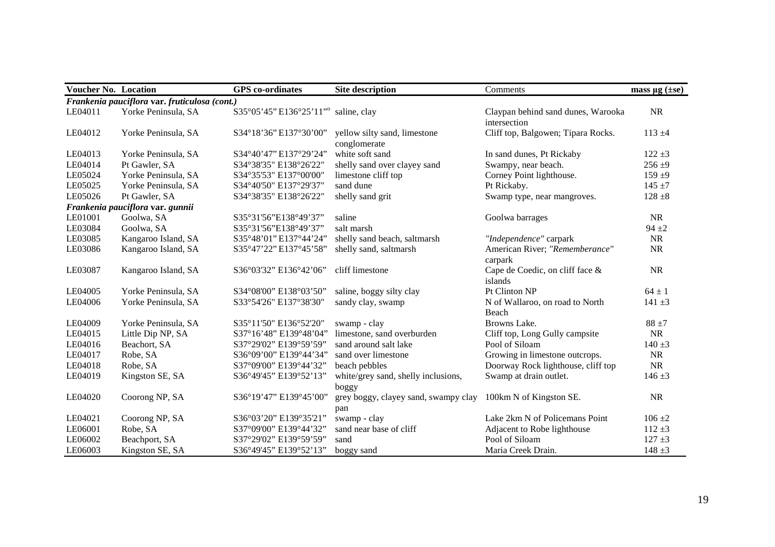| <b>Voucher No. Location</b> |                                               | <b>GPS</b> co-ordinates | <b>Site description</b>                      | Comments                                           | mass $\mu$ g ( $\pm$ se) |
|-----------------------------|-----------------------------------------------|-------------------------|----------------------------------------------|----------------------------------------------------|--------------------------|
|                             | Frankenia pauciflora var. fruticulosa (cont.) |                         |                                              |                                                    |                          |
| LE04011                     | Yorke Peninsula, SA                           | S35°05'45" E136°25'11"° | saline, clay                                 | Claypan behind sand dunes, Warooka<br>intersection | <b>NR</b>                |
| LE04012                     | Yorke Peninsula, SA                           | S34°18'36" E137°30'00"  | yellow silty sand, limestone<br>conglomerate | Cliff top, Balgowen; Tipara Rocks.                 | $113 + 4$                |
| LE04013                     | Yorke Peninsula, SA                           | S34°40'47" E137°29'24"  | white soft sand                              | In sand dunes, Pt Rickaby                          | $122 + 3$                |
| LE04014                     | Pt Gawler, SA                                 | S34°38'35" E138°26'22"  | shelly sand over clayey sand                 | Swampy, near beach.                                | $256 + 9$                |
| LE05024                     | Yorke Peninsula, SA                           | S34°35'53" E137°00'00"  | limestone cliff top                          | Corney Point lighthouse.                           | $159 + 9$                |
| LE05025                     | Yorke Peninsula, SA                           | S34°40'50" E137°29'37"  | sand dune                                    | Pt Rickaby.                                        | $145 + 7$                |
| LE05026                     | Pt Gawler, SA                                 | S34°38'35" E138°26'22"  | shelly sand grit                             | Swamp type, near mangroves.                        | $128 + 8$                |
|                             | Frankenia pauciflora var. gunnii              |                         |                                              |                                                    |                          |
| LE01001                     | Goolwa, SA                                    | S35°31'56"E138°49'37"   | saline                                       | Goolwa barrages                                    | <b>NR</b>                |
| LE03084                     | Goolwa, SA                                    | S35°31'56"E138°49'37"   | salt marsh                                   |                                                    | $94 + 2$                 |
| LE03085                     | Kangaroo Island, SA                           | S35°48'01" E137°44'24"  | shelly sand beach, saltmarsh                 | "Independence" carpark                             | <b>NR</b>                |
| LE03086                     | Kangaroo Island, SA                           | S35°47'22" E137°45'58"  | shelly sand, saltmarsh                       | American River; "Rememberance"<br>carpark          | <b>NR</b>                |
| LE03087                     | Kangaroo Island, SA                           | S36°03'32" E136°42'06"  | cliff limestone                              | Cape de Coedic, on cliff face &<br>islands         | <b>NR</b>                |
| LE04005                     | Yorke Peninsula, SA                           | S34°08'00" E138°03'50"  | saline, boggy silty clay                     | Pt Clinton NP                                      | $64 \pm 1$               |
| LE04006                     | Yorke Peninsula, SA                           | S33°54'26" E137°38'30"  | sandy clay, swamp                            | N of Wallaroo, on road to North<br>Beach           | $141 \pm 3$              |
| LE04009                     | Yorke Peninsula, SA                           | S35°11'50" E136°52'20"  | swamp - clay                                 | Browns Lake.                                       | $88 \pm 7$               |
| LE04015                     | Little Dip NP, SA                             | S37°16'48" E139°48'04"  | limestone, sand overburden                   | Cliff top, Long Gully campsite                     | <b>NR</b>                |
| LE04016                     | Beachort, SA                                  | S37°29'02" E139°59'59"  | sand around salt lake                        | Pool of Siloam                                     | $140 \pm 3$              |
| LE04017                     | Robe, SA                                      | S36°09'00" E139°44'34"  | sand over limestone                          | Growing in limestone outcrops.                     | <b>NR</b>                |
| LE04018                     | Robe, SA                                      | S37°09'00" E139°44'32"  | beach pebbles                                | Doorway Rock lighthouse, cliff top                 | <b>NR</b>                |
| LE04019                     | Kingston SE, SA                               | S36°49'45" E139°52'13"  | white/grey sand, shelly inclusions,          | Swamp at drain outlet.                             | $146 \pm 3$              |
|                             |                                               |                         | boggy                                        |                                                    |                          |
| LE04020                     | Coorong NP, SA                                | S36°19'47" E139°45'00"  | grey boggy, clayey sand, swampy clay<br>pan  | 100km N of Kingston SE.                            | <b>NR</b>                |
| LE04021                     | Coorong NP, SA                                | S36°03'20" E139°35'21"  | swamp - clay                                 | Lake 2km N of Policemans Point                     | $106 \pm 2$              |
| LE06001                     | Robe, SA                                      | S37°09'00" E139°44'32"  | sand near base of cliff                      | Adjacent to Robe lighthouse                        | $112 + 3$                |
| LE06002                     | Beachport, SA                                 | S37°29'02" E139°59'59"  | sand                                         | Pool of Siloam                                     | $127 + 3$                |
| LE06003                     | Kingston SE, SA                               | S36°49'45" E139°52'13"  | boggy sand                                   | Maria Creek Drain.                                 | $148 + 3$                |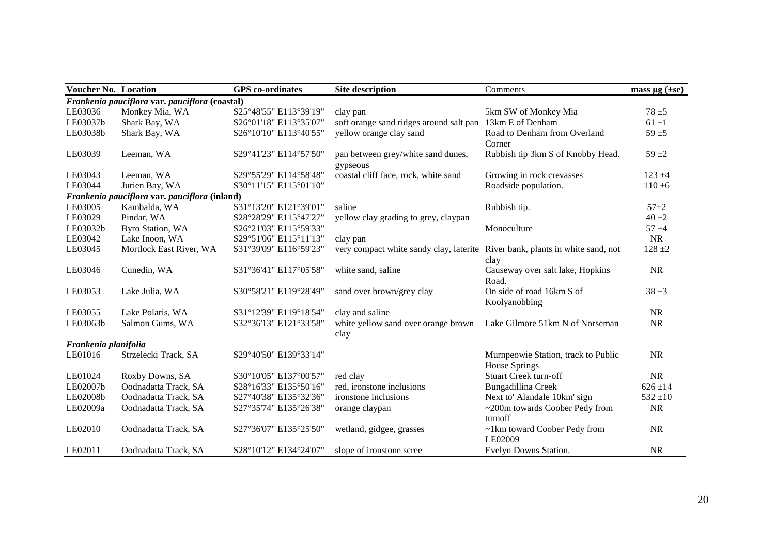| <b>Voucher No. Location</b> |                                                | <b>GPS</b> co-ordinates | <b>Site description</b>                                                       | Comments                            | mass $\mu$ g ( $\pm$ se) |
|-----------------------------|------------------------------------------------|-------------------------|-------------------------------------------------------------------------------|-------------------------------------|--------------------------|
|                             | Frankenia pauciflora var. pauciflora (coastal) |                         |                                                                               |                                     |                          |
| LE03036                     | Monkey Mia, WA                                 | S25°48'55" E113°39'19"  | clay pan                                                                      | 5km SW of Monkey Mia                | $78 + 5$                 |
| LE03037b                    | Shark Bay, WA                                  | S26°01'18" E113°35'07"  | soft orange sand ridges around salt pan                                       | 13km E of Denham                    | $61 \pm 1$               |
| LE03038b                    | Shark Bay, WA                                  | S26°10'10" E113°40'55"  | yellow orange clay sand                                                       | Road to Denham from Overland        | $59 + 5$                 |
|                             |                                                |                         |                                                                               | Corner                              |                          |
| LE03039                     | Leeman, WA                                     | S29°41'23" E114°57'50"  | pan between grey/white sand dunes,                                            | Rubbish tip 3km S of Knobby Head.   | $59 + 2$                 |
|                             |                                                |                         | gypseous                                                                      |                                     |                          |
| LE03043                     | Leeman, WA                                     | S29°55'29" E114°58'48"  | coastal cliff face, rock, white sand                                          | Growing in rock crevasses           | $123 + 4$                |
| LE03044                     | Jurien Bay, WA                                 | S30°11'15" E115°01'10"  |                                                                               | Roadside population.                | $110 \pm 6$              |
|                             | Frankenia pauciflora var. pauciflora (inland)  |                         |                                                                               |                                     |                          |
| LE03005                     | Kambalda, WA                                   | S31°13'20" E121°39'01"  | saline                                                                        | Rubbish tip.                        | $57 + 2$                 |
| LE03029                     | Pindar, WA                                     | S28°28'29" E115°47'27"  | yellow clay grading to grey, claypan                                          |                                     | $40 \pm 2$               |
| LE03032b                    | <b>Byro Station, WA</b>                        | S26°21'03" E115°59'33"  |                                                                               | Monoculture                         | $57 + 4$                 |
| LE03042                     | Lake Inoon, WA                                 | S29°51'06" E115°11'13"  | clay pan                                                                      |                                     | <b>NR</b>                |
| LE03045                     | Mortlock East River, WA                        | S31°39'09" E116°59'23"  | very compact white sandy clay, laterite River bank, plants in white sand, not |                                     | $128 + 2$                |
|                             |                                                |                         |                                                                               | clay                                |                          |
| LE03046                     | Cunedin, WA                                    | S31°36'41" E117°05'58"  | white sand, saline                                                            | Causeway over salt lake, Hopkins    | <b>NR</b>                |
|                             |                                                |                         |                                                                               | Road.                               |                          |
| LE03053                     | Lake Julia, WA                                 | S30°58'21" E119°28'49"  | sand over brown/grey clay                                                     | On side of road 16km S of           | $38 + 3$                 |
|                             |                                                |                         |                                                                               | Koolyanobbing                       |                          |
| LE03055                     | Lake Polaris, WA                               | S31°12'39" E119°18'54"  | clay and saline                                                               |                                     | <b>NR</b>                |
| LE03063b                    | Salmon Gums, WA                                | S32°36'13" E121°33'58"  | white yellow sand over orange brown                                           | Lake Gilmore 51km N of Norseman     | <b>NR</b>                |
|                             |                                                |                         | clay                                                                          |                                     |                          |
| Frankenia planifolia        |                                                |                         |                                                                               |                                     |                          |
| LE01016                     | Strzelecki Track, SA                           | S29°40'50" E139°33'14"  |                                                                               | Murnpeowie Station, track to Public | <b>NR</b>                |
|                             |                                                |                         |                                                                               | House Springs                       |                          |
| LE01024                     | Roxby Downs, SA                                | S30°10'05" E137°00'57"  | red clay                                                                      | <b>Stuart Creek turn-off</b>        | <b>NR</b>                |
| LE02007b                    | Oodnadatta Track, SA                           | S28°16'33" E135°50'16"  | red, ironstone inclusions                                                     | Bungadillina Creek                  | $626 \pm 14$             |
| LE02008b                    | Oodnadatta Track, SA                           | S27°40'38" E135°32'36"  | ironstone inclusions                                                          | Next to' Alandale 10km' sign        | $532 \pm 10$             |
| LE02009a                    | Oodnadatta Track, SA                           | S27°35'74" E135°26'38"  | orange claypan                                                                | ~200m towards Coober Pedy from      | <b>NR</b>                |
|                             |                                                |                         |                                                                               | turnoff                             |                          |
| LE02010                     | Oodnadatta Track, SA                           | S27°36'07" E135°25'50"  | wetland, gidgee, grasses                                                      | ~1km toward Coober Pedy from        | <b>NR</b>                |
|                             |                                                |                         |                                                                               | LE02009                             |                          |
| LE02011                     | Oodnadatta Track, SA                           | S28°10'12" E134°24'07"  | slope of ironstone scree                                                      | Evelyn Downs Station.               | <b>NR</b>                |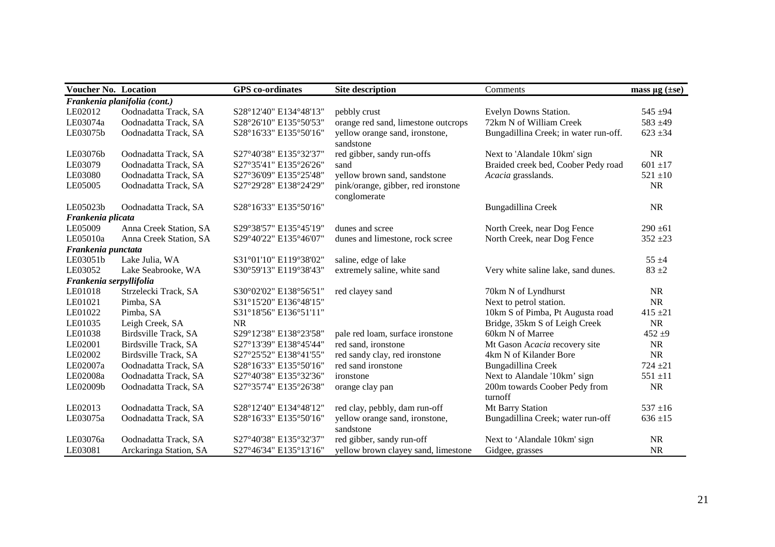| <b>Voucher No. Location</b> |                              | <b>GPS</b> co-ordinates | <b>Site description</b>             | Comments                              | mass $\mu$ g ( $\pm$ se) |
|-----------------------------|------------------------------|-------------------------|-------------------------------------|---------------------------------------|--------------------------|
|                             | Frankenia planifolia (cont.) |                         |                                     |                                       |                          |
| LE02012                     | Oodnadatta Track, SA         | S28°12'40" E134°48'13"  | pebbly crust                        | Evelyn Downs Station.                 | $545 + 94$               |
| LE03074a                    | Oodnadatta Track, SA         | S28°26'10" E135°50'53"  | orange red sand, limestone outcrops | 72km N of William Creek               | 583 $±49$                |
| LE03075b                    | Oodnadatta Track, SA         | S28°16'33" E135°50'16"  | yellow orange sand, ironstone,      | Bungadillina Creek; in water run-off. | $623 \pm 34$             |
|                             |                              |                         | sandstone                           |                                       |                          |
| LE03076b                    | Oodnadatta Track, SA         | S27°40'38" E135°32'37"  | red gibber, sandy run-offs          | Next to 'Alandale 10km' sign          | <b>NR</b>                |
| LE03079                     | Oodnadatta Track, SA         | S27°35'41" E135°26'26"  | sand                                | Braided creek bed, Coober Pedy road   | $601 \pm 17$             |
| LE03080                     | Oodnadatta Track, SA         | S27°36'09" E135°25'48"  | yellow brown sand, sandstone        | Acacia grasslands.                    | $521 \pm 10$             |
| LE05005                     | Oodnadatta Track, SA         | S27°29'28" E138°24'29"  | pink/orange, gibber, red ironstone  |                                       | <b>NR</b>                |
|                             |                              |                         | conglomerate                        |                                       |                          |
| LE05023b                    | Oodnadatta Track, SA         | S28°16'33" E135°50'16"  |                                     | Bungadillina Creek                    | <b>NR</b>                |
| Frankenia plicata           |                              |                         |                                     |                                       |                          |
| LE05009                     | Anna Creek Station, SA       | S29°38'57" E135°45'19"  | dunes and scree                     | North Creek, near Dog Fence           | $290 \pm 61$             |
| LE05010a                    | Anna Creek Station, SA       | S29°40'22" E135°46'07"  | dunes and limestone, rock scree     | North Creek, near Dog Fence           | $352 + 23$               |
| Frankenia punctata          |                              |                         |                                     |                                       |                          |
| LE03051b                    | Lake Julia, WA               | S31°01'10" E119°38'02"  | saline, edge of lake                |                                       | $55 \pm 4$               |
| LE03052                     | Lake Seabrooke, WA           | S30°59'13" E119°38'43"  | extremely saline, white sand        | Very white saline lake, sand dunes.   | $83 + 2$                 |
| Frankenia serpyllifolia     |                              |                         |                                     |                                       |                          |
| LE01018                     | Strzelecki Track, SA         | S30°02'02" E138°56'51"  | red clayey sand                     | 70km N of Lyndhurst                   | <b>NR</b>                |
| LE01021                     | Pimba, SA                    | S31°15'20" E136°48'15"  |                                     | Next to petrol station.               | <b>NR</b>                |
| LE01022                     | Pimba, SA                    | S31°18'56" E136°51'11"  |                                     | 10km S of Pimba, Pt Augusta road      | $415 \pm 21$             |
| LE01035                     | Leigh Creek, SA              | <b>NR</b>               |                                     | Bridge, 35km S of Leigh Creek         | <b>NR</b>                |
| LE01038                     | Birdsville Track, SA         | S29°12'38" E138°23'58"  | pale red loam, surface ironstone    | 60km N of Marree                      | $452 + 9$                |
| LE02001                     | Birdsville Track, SA         | S27°13'39" E138°45'44"  | red sand, ironstone                 | Mt Gason Acacia recovery site         | <b>NR</b>                |
| LE02002                     | Birdsville Track, SA         | S27°25'52" E138°41'55"  | red sandy clay, red ironstone       | 4km N of Kilander Bore                | <b>NR</b>                |
| LE02007a                    | Oodnadatta Track, SA         | S28°16'33" E135°50'16"  | red sand ironstone                  | Bungadillina Creek                    | $724 + 21$               |
| LE02008a                    | Oodnadatta Track, SA         | S27°40'38" E135°32'36"  | ironstone                           | Next to Alandale '10km' sign          | $551 + 11$               |
| LE02009b                    | Oodnadatta Track, SA         | S27°35'74" E135°26'38"  | orange clay pan                     | 200m towards Coober Pedy from         | <b>NR</b>                |
|                             |                              |                         |                                     | turnoff                               |                          |
| LE02013                     | Oodnadatta Track, SA         | S28°12'40" E134°48'12"  | red clay, pebbly, dam run-off       | Mt Barry Station                      | $537 \pm 16$             |
| LE03075a                    | Oodnadatta Track, SA         | S28°16'33" E135°50'16"  | yellow orange sand, ironstone,      | Bungadillina Creek; water run-off     | $636 \pm 15$             |
|                             |                              |                         | sandstone                           |                                       |                          |
| LE03076a                    | Oodnadatta Track, SA         | S27°40'38" E135°32'37"  | red gibber, sandy run-off           | Next to 'Alandale 10km' sign          | <b>NR</b>                |
| LE03081                     | Arckaringa Station, SA       | S27°46'34" E135°13'16"  | yellow brown clayey sand, limestone | Gidgee, grasses                       | <b>NR</b>                |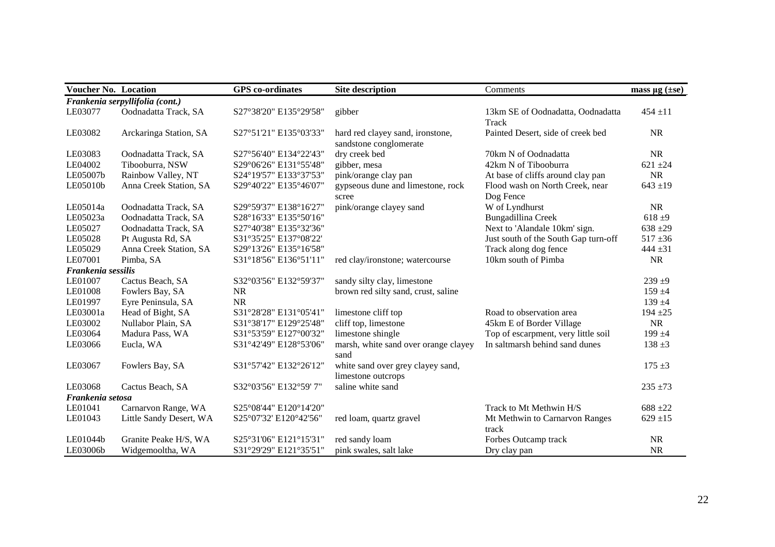| <b>Voucher No. Location</b> |                                 | <b>GPS</b> co-ordinates | <b>Site description</b>                                    | Comments                                     | mass $\mu$ g ( $\pm$ se) |
|-----------------------------|---------------------------------|-------------------------|------------------------------------------------------------|----------------------------------------------|--------------------------|
|                             | Frankenia serpyllifolia (cont.) |                         |                                                            |                                              |                          |
| LE03077                     | Oodnadatta Track, SA            | S27°38'20" E135°29'58"  | gibber                                                     | 13km SE of Oodnadatta, Oodnadatta<br>Track   | $454 \pm 11$             |
| LE03082                     | Arckaringa Station, SA          | S27°51'21" E135°03'33"  | hard red clayey sand, ironstone,<br>sandstone conglomerate | Painted Desert, side of creek bed            | <b>NR</b>                |
| LE03083                     | Oodnadatta Track, SA            | S27°56'40" E134°22'43"  | dry creek bed                                              | 70km N of Oodnadatta                         | <b>NR</b>                |
| LE04002                     | Tibooburra, NSW                 | S29°06'26" E131°55'48"  | gibber, mesa                                               | 42km N of Tibooburra                         | $621 \pm 24$             |
| LE05007b                    | Rainbow Valley, NT              | S24°19'57" E133°37'53"  | pink/orange clay pan                                       | At base of cliffs around clay pan            | <b>NR</b>                |
| LE05010b                    | Anna Creek Station, SA          | S29°40'22" E135°46'07"  | gypseous dune and limestone, rock<br>scree                 | Flood wash on North Creek, near<br>Dog Fence | $643 + 19$               |
| LE05014a                    | Oodnadatta Track, SA            | S29°59'37" E138°16'27"  | pink/orange clayey sand                                    | W of Lyndhurst                               | <b>NR</b>                |
| LE05023a                    | Oodnadatta Track, SA            | S28°16'33" E135°50'16"  |                                                            | Bungadillina Creek                           | $618 + 9$                |
| LE05027                     | Oodnadatta Track, SA            | S27°40'38" E135°32'36"  |                                                            | Next to 'Alandale 10km' sign.                | $638 + 29$               |
| LE05028                     | Pt Augusta Rd, SA               | S31°35'25" E137°08'22'  |                                                            | Just south of the South Gap turn-off         | $517 + 36$               |
| LE05029                     | Anna Creek Station, SA          | S29°13'26" E135°16'58"  |                                                            | Track along dog fence                        | 444 $\pm 31$             |
| LE07001                     | Pimba, SA                       | S31°18'56" E136°51'11"  | red clay/ironstone; watercourse                            | 10km south of Pimba                          | NR                       |
| Frankenia sessilis          |                                 |                         |                                                            |                                              |                          |
| LE01007                     | Cactus Beach, SA                | S32°03'56" E132°59'37"  | sandy silty clay, limestone                                |                                              | $239 + 9$                |
| LE01008                     | Fowlers Bay, SA                 | <b>NR</b>               | brown red silty sand, crust, saline                        |                                              | $159 + 4$                |
| LE01997                     | Eyre Peninsula, SA              | <b>NR</b>               |                                                            |                                              | $139 + 4$                |
| LE03001a                    | Head of Bight, SA               | S31°28'28" E131°05'41"  | limestone cliff top                                        | Road to observation area                     | $194 + 25$               |
| LE03002                     | Nullabor Plain, SA              | S31°38'17" E129°25'48"  | cliff top, limestone                                       | 45km E of Border Village                     | <b>NR</b>                |
| LE03064                     | Madura Pass, WA                 | S31°53'59" E127°00'32"  | limestone shingle                                          | Top of escarpment, very little soil          | $199 + 4$                |
| LE03066                     | Eucla, WA                       | S31°42'49" E128°53'06"  | marsh, white sand over orange clayey<br>sand               | In saltmarsh behind sand dunes               | $138 + 3$                |
| LE03067                     | Fowlers Bay, SA                 | S31°57'42" E132°26'12"  | white sand over grey clayey sand,<br>limestone outcrops    |                                              | $175 + 3$                |
| LE03068                     | Cactus Beach, SA                | S32°03'56" E132°59' 7"  | saline white sand                                          |                                              | $235 + 73$               |
| Frankenia setosa            |                                 |                         |                                                            |                                              |                          |
| LE01041                     | Carnarvon Range, WA             | S25°08'44" E120°14'20"  |                                                            | Track to Mt Methwin H/S                      | $688 + 22$               |
| LE01043                     | Little Sandy Desert, WA         | S25°07'32' E120°42'56"  | red loam, quartz gravel                                    | Mt Methwin to Carnarvon Ranges<br>track      | $629 \pm 15$             |
| LE01044b                    | Granite Peake H/S, WA           | S25°31'06" E121°15'31"  | red sandy loam                                             | Forbes Outcamp track                         | NR                       |
| LE03006b                    | Widgemooltha, WA                | S31°29'29" E121°35'51"  | pink swales, salt lake                                     | Dry clay pan                                 | <b>NR</b>                |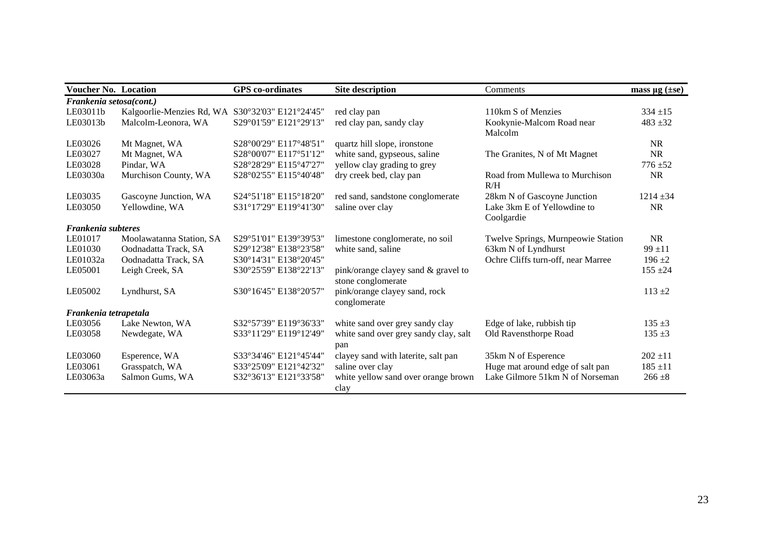| <b>Voucher No. Location</b> |                                                  | <b>GPS</b> co-ordinates | <b>Site description</b>                                   | Comments                                  | mass $\mu$ g ( $\pm$ se) |
|-----------------------------|--------------------------------------------------|-------------------------|-----------------------------------------------------------|-------------------------------------------|--------------------------|
| Frankenia setosa(cont.)     |                                                  |                         |                                                           |                                           |                          |
| LE03011b                    | Kalgoorlie-Menzies Rd, WA S30°32'03" E121°24'45" |                         | red clay pan                                              | 110km S of Menzies                        | $334 + 15$               |
| LE03013b                    | Malcolm-Leonora, WA                              | S29°01'59" E121°29'13"  | red clay pan, sandy clay                                  | Kookynie-Malcom Road near<br>Malcolm      | $483 + 32$               |
| LE03026                     | Mt Magnet, WA                                    | S28°00'29" E117°48'51"  | quartz hill slope, ironstone                              |                                           | <b>NR</b>                |
| LE03027                     | Mt Magnet, WA                                    | S28°00'07" E117°51'12"  | white sand, gypseous, saline                              | The Granites, N of Mt Magnet              | <b>NR</b>                |
| LE03028                     | Pindar, WA                                       | S28°28'29" E115°47'27"  | yellow clay grading to grey                               |                                           | $776 + 52$               |
| LE03030a                    | Murchison County, WA                             | S28°02'55" E115°40'48"  | dry creek bed, clay pan                                   | Road from Mullewa to Murchison<br>R/H     | <b>NR</b>                |
| LE03035                     | Gascoyne Junction, WA                            | S24°51'18" E115°18'20"  | red sand, sandstone conglomerate                          | 28km N of Gascoyne Junction               | $1214 \pm 34$            |
| LE03050                     | Yellowdine, WA                                   | S31°17'29" E119°41'30"  | saline over clay                                          | Lake 3km E of Yellowdine to<br>Coolgardie | <b>NR</b>                |
| Frankenia subteres          |                                                  |                         |                                                           |                                           |                          |
| LE01017                     | Moolawatanna Station, SA                         | S29°51'01" E139°39'53"  | limestone conglomerate, no soil                           | Twelve Springs, Murnpeowie Station        | NR                       |
| LE01030                     | Oodnadatta Track, SA                             | S29°12'38" E138°23'58"  | white sand, saline                                        | 63km N of Lyndhurst                       | $99 + 11$                |
| LE01032a                    | Oodnadatta Track, SA                             | S30°14'31" E138°20'45"  |                                                           | Ochre Cliffs turn-off, near Marree        | $196 + 2$                |
| LE05001                     | Leigh Creek, SA                                  | S30°25'59" E138°22'13"  | pink/orange clayey sand & gravel to<br>stone conglomerate |                                           | $155 \pm 24$             |
| LE05002                     | Lyndhurst, SA                                    | S30°16'45" E138°20'57"  | pink/orange clayey sand, rock<br>conglomerate             |                                           | $113 + 2$                |
| Frankenia tetrapetala       |                                                  |                         |                                                           |                                           |                          |
| LE03056                     | Lake Newton, WA                                  | S32°57'39" E119°36'33"  | white sand over grey sandy clay                           | Edge of lake, rubbish tip                 | $135 + 3$                |
| LE03058                     | Newdegate, WA                                    | S33°11'29" E119°12'49"  | white sand over grey sandy clay, salt<br>pan              | Old Ravensthorpe Road                     | $135 + 3$                |
| LE03060                     | Esperence, WA                                    | S33°34'46" E121°45'44"  | clayey sand with laterite, salt pan                       | 35km N of Esperence                       | $202 \pm 11$             |
| LE03061                     | Grasspatch, WA                                   | S33°25'09" E121°42'32"  | saline over clay                                          | Huge mat around edge of salt pan          | $185 \pm 11$             |
| LE03063a                    | Salmon Gums, WA                                  | S32°36'13" E121°33'58"  | white yellow sand over orange brown<br>clay               | Lake Gilmore 51km N of Norseman           | $266 \pm 8$              |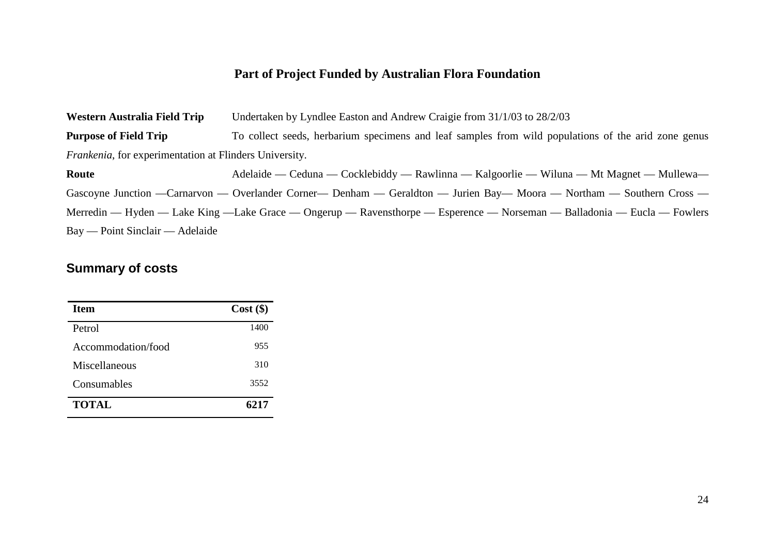### **Part of Project Funded by Australian Flora Foundation**

**Western Australia Field Trip** Undertaken by Lyndlee Easton and Andrew Craigie from 31/1/03 to 28/2/03 **Purpose of Field Trip** To collect seeds, herbarium specimens and leaf samples from wild populations of the arid zone genus *Frankenia*, for experimentation at Flinders University. **Route** Adelaide — Ceduna — Cocklebiddy — Rawlinna — Kalgoorlie — Wiluna — Mt Magnet — Mullewa— Gascoyne Junction —Carnarvon — Overlander Corner— Denham — Geraldton — Jurien Bay— Moora — Northam — Southern Cross — Merredin — Hyden — Lake King —Lake Grace — Ongerup — Ravensthorpe — Esperence — Norseman — Balladonia — Eucla — Fowlers Bay — Point Sinclair — Adelaide

### **Summary of costs**

| Item               | $Cost($ \$) |
|--------------------|-------------|
| Petrol             | 1400        |
| Accommodation/food | 955         |
| Miscellaneous      | 310         |
| Consumables        | 3552        |
| <b>TOTAL</b>       | 6217        |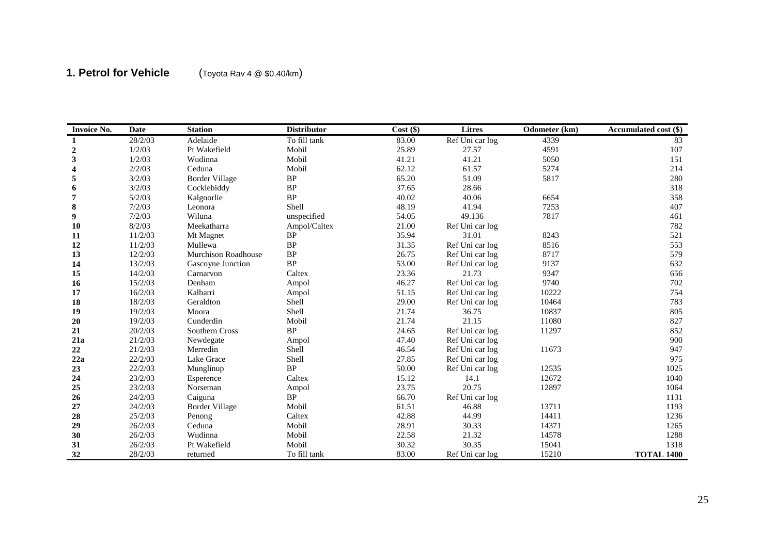# **1. Petrol for Vehicle** (Toyota Rav 4 @ \$0.40/km)

| <b>Invoice No.</b>      | <b>Date</b> | <b>Station</b>             | <b>Distributor</b> | $Cost$ (\$) | Litres          | Odometer (km) | Accumulated cost (\$) |
|-------------------------|-------------|----------------------------|--------------------|-------------|-----------------|---------------|-----------------------|
| $\mathbf 1$             | 28/2/03     | Adelaide                   | To fill tank       | 83.00       | Ref Uni car log | 4339          | 83                    |
| $\boldsymbol{2}$        | 1/2/03      | Pt Wakefield               | Mobil              | 25.89       | 27.57           | 4591          | 107                   |
| $\mathbf{3}$            | 1/2/03      | Wudinna                    | Mobil              | 41.21       | 41.21           | 5050          | 151                   |
| $\overline{\mathbf{4}}$ | 2/2/03      | Ceduna                     | Mobil              | 62.12       | 61.57           | 5274          | 214                   |
| $\sqrt{5}$              | 3/2/03      | <b>Border Village</b>      | $\rm BP$           | 65.20       | 51.09           | 5817          | 280                   |
| 6                       | 3/2/03      | Cocklebiddy                | <b>BP</b>          | 37.65       | 28.66           |               | 318                   |
| 7                       | 5/2/03      | Kalgoorlie                 | BP                 | 40.02       | 40.06           | 6654          | 358                   |
| 8                       | 7/2/03      | Leonora                    | Shell              | 48.19       | 41.94           | 7253          | 407                   |
| 9                       | 7/2/03      | Wiluna                     | unspecified        | 54.05       | 49.136          | 7817          | 461                   |
| <b>10</b>               | 8/2/03      | Meekatharra                | Ampol/Caltex       | 21.00       | Ref Uni car log |               | 782                   |
| 11                      | 11/2/03     | Mt Magnet                  | <b>BP</b>          | 35.94       | 31.01           | 8243          | 521                   |
| 12                      | 11/2/03     | Mullewa                    | BP                 | 31.35       | Ref Uni car log | 8516          | 553                   |
| 13                      | 12/2/03     | <b>Murchison Roadhouse</b> | BP                 | 26.75       | Ref Uni car log | 8717          | 579                   |
| 14                      | 13/2/03     | Gascoyne Junction          | <b>BP</b>          | 53.00       | Ref Uni car log | 9137          | 632                   |
| 15                      | 14/2/03     | Carnarvon                  | Caltex             | 23.36       | 21.73           | 9347          | 656                   |
| 16                      | 15/2/03     | Denham                     | Ampol              | 46.27       | Ref Uni car log | 9740          | 702                   |
| 17                      | 16/2/03     | Kalbarri                   | Ampol              | 51.15       | Ref Uni car log | 10222         | 754                   |
| 18                      | 18/2/03     | Geraldton                  | Shell              | 29.00       | Ref Uni car log | 10464         | 783                   |
| 19                      | 19/2/03     | Moora                      | Shell              | 21.74       | 36.75           | 10837         | 805                   |
| $20\,$                  | 19/2/03     | Cunderdin                  | Mobil              | 21.74       | 21.15           | 11080         | 827                   |
| 21                      | 20/2/03     | Southern Cross             | BP                 | 24.65       | Ref Uni car log | 11297         | 852                   |
| 21a                     | 21/2/03     | Newdegate                  | Ampol              | 47.40       | Ref Uni car log |               | 900                   |
| 22                      | 21/2/03     | Merredin                   | Shell              | 46.54       | Ref Uni car log | 11673         | 947                   |
| 22a                     | 22/2/03     | Lake Grace                 | Shell              | 27.85       | Ref Uni car log |               | 975                   |
| 23                      | 22/2/03     | Munglinup                  | <b>BP</b>          | 50.00       | Ref Uni car log | 12535         | 1025                  |
| 24                      | 23/2/03     | Esperence                  | Caltex             | 15.12       | 14.1            | 12672         | 1040                  |
| 25                      | 23/2/03     | Norseman                   | Ampol              | 23.75       | 20.75           | 12897         | 1064                  |
| 26                      | 24/2/03     | Caiguna                    | <b>BP</b>          | 66.70       | Ref Uni car log |               | 1131                  |
| 27                      | 24/2/03     | <b>Border Village</b>      | Mobil              | 61.51       | 46.88           | 13711         | 1193                  |
| 28                      | 25/2/03     | Penong                     | Caltex             | 42.88       | 44.99           | 14411         | 1236                  |
| 29                      | 26/2/03     | Ceduna                     | Mobil              | 28.91       | 30.33           | 14371         | 1265                  |
| 30                      | 26/2/03     | Wudinna                    | Mobil              | 22.58       | 21.32           | 14578         | 1288                  |
| 31                      | 26/2/03     | Pt Wakefield               | Mobil              | 30.32       | 30.35           | 15041         | 1318                  |
| 32                      | 28/2/03     | returned                   | To fill tank       | 83.00       | Ref Uni car log | 15210         | <b>TOTAL 1400</b>     |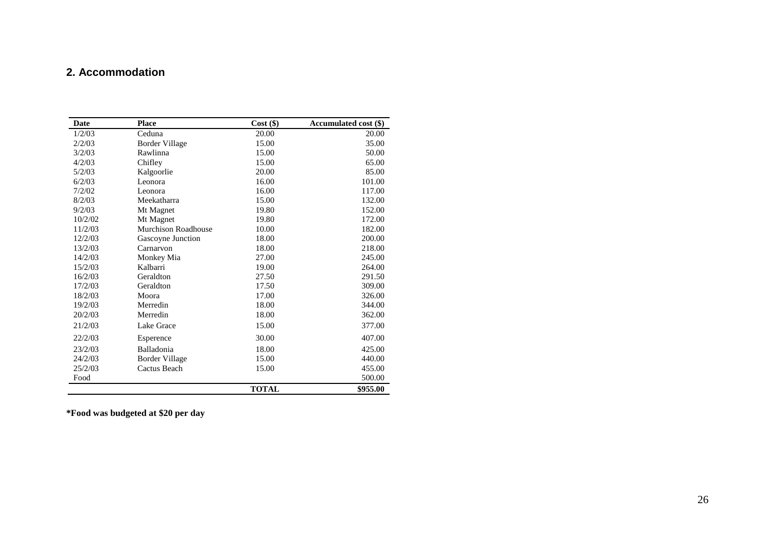#### **2 . Accommodation**

| Date    | <b>Place</b>               | $Cost($ \$)  | <b>Accumulated cost (\$)</b> |
|---------|----------------------------|--------------|------------------------------|
| 1/2/03  | Ceduna                     | 20.00        | 20.00                        |
| 2/2/03  | <b>Border Village</b>      | 15.00        | 35.00                        |
| 3/2/03  | Rawlinna                   | 15.00        | 50.00                        |
| 4/2/03  | Chifley                    | 15.00        | 65.00                        |
| 5/2/03  | Kalgoorlie                 | 20.00        | 85.00                        |
| 6/2/03  | Leonora                    | 16.00        | 101.00                       |
| 7/2/02  | Leonora                    | 16.00        | 117.00                       |
| 8/2/03  | Meekatharra                | 15.00        | 132.00                       |
| 9/2/03  | Mt Magnet                  | 19.80        | 152.00                       |
| 10/2/02 | Mt Magnet                  | 19.80        | 172.00                       |
| 11/2/03 | <b>Murchison Roadhouse</b> | 10.00        | 182.00                       |
| 12/2/03 | Gascoyne Junction          | 18.00        | 200.00                       |
| 13/2/03 | Carnarvon                  | 18.00        | 218.00                       |
| 14/2/03 | Monkey Mia                 | 27.00        | 245.00                       |
| 15/2/03 | Kalbarri                   | 19.00        | 264.00                       |
| 16/2/03 | Geraldton                  | 27.50        | 291.50                       |
| 17/2/03 | Geraldton                  | 17.50        | 309.00                       |
| 18/2/03 | Moora                      | 17.00        | 326.00                       |
| 19/2/03 | Merredin                   | 18.00        | 344.00                       |
| 20/2/03 | Merredin                   | 18.00        | 362.00                       |
| 21/2/03 | Lake Grace                 | 15.00        | 377.00                       |
| 22/2/03 | Esperence                  | 30.00        | 407.00                       |
| 23/2/03 | Balladonia                 | 18.00        | 425.00                       |
| 24/2/03 | <b>Border Village</b>      | 15.00        | 440.00                       |
| 25/2/03 | Cactus Beach               | 15.00        | 455.00                       |
| Food    |                            |              | 500.00                       |
|         |                            | <b>TOTAL</b> | \$955.00                     |

**\*Food was budgeted at \$20 per day**